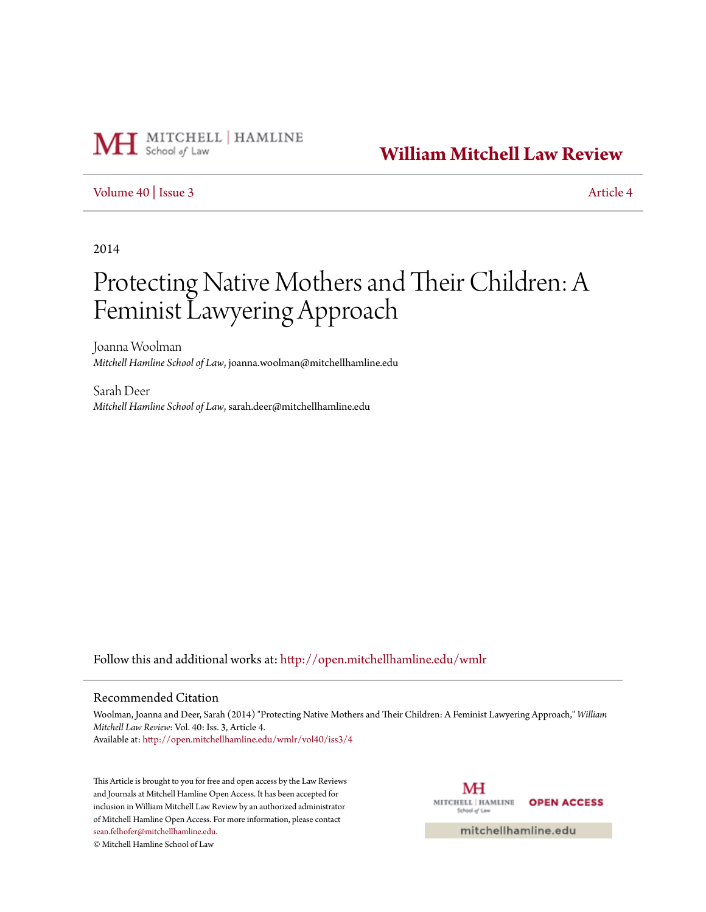

**[William Mitchell Law Review](http://open.mitchellhamline.edu/wmlr?utm_source=open.mitchellhamline.edu%2Fwmlr%2Fvol40%2Fiss3%2F4&utm_medium=PDF&utm_campaign=PDFCoverPages)**

# [Volume 40](http://open.mitchellhamline.edu/wmlr/vol40?utm_source=open.mitchellhamline.edu%2Fwmlr%2Fvol40%2Fiss3%2F4&utm_medium=PDF&utm_campaign=PDFCoverPages) | [Issue 3](http://open.mitchellhamline.edu/wmlr/vol40/iss3?utm_source=open.mitchellhamline.edu%2Fwmlr%2Fvol40%2Fiss3%2F4&utm_medium=PDF&utm_campaign=PDFCoverPages) [Article 4](http://open.mitchellhamline.edu/wmlr/vol40/iss3/4?utm_source=open.mitchellhamline.edu%2Fwmlr%2Fvol40%2Fiss3%2F4&utm_medium=PDF&utm_campaign=PDFCoverPages)

2014

# Protecting Native Mothers and Their Children: A Feminist Lawyering Approach

Joanna Woolman *Mitchell Hamline School of Law*, joanna.woolman@mitchellhamline.edu

Sarah Deer *Mitchell Hamline School of Law*, sarah.deer@mitchellhamline.edu

Follow this and additional works at: [http://open.mitchellhamline.edu/wmlr](http://open.mitchellhamline.edu/wmlr?utm_source=open.mitchellhamline.edu%2Fwmlr%2Fvol40%2Fiss3%2F4&utm_medium=PDF&utm_campaign=PDFCoverPages)

## Recommended Citation

Woolman, Joanna and Deer, Sarah (2014) "Protecting Native Mothers and Their Children: A Feminist Lawyering Approach," *William Mitchell Law Review*: Vol. 40: Iss. 3, Article 4. Available at: [http://open.mitchellhamline.edu/wmlr/vol40/iss3/4](http://open.mitchellhamline.edu/wmlr/vol40/iss3/4?utm_source=open.mitchellhamline.edu%2Fwmlr%2Fvol40%2Fiss3%2F4&utm_medium=PDF&utm_campaign=PDFCoverPages)

This Article is brought to you for free and open access by the Law Reviews and Journals at Mitchell Hamline Open Access. It has been accepted for inclusion in William Mitchell Law Review by an authorized administrator of Mitchell Hamline Open Access. For more information, please contact [sean.felhofer@mitchellhamline.edu](mailto:sean.felhofer@mitchellhamline.edu).

© Mitchell Hamline School of Law

МH MITCHELL | HAMLINE **OPEN ACCESS** School of Law

mitchellhamline.edu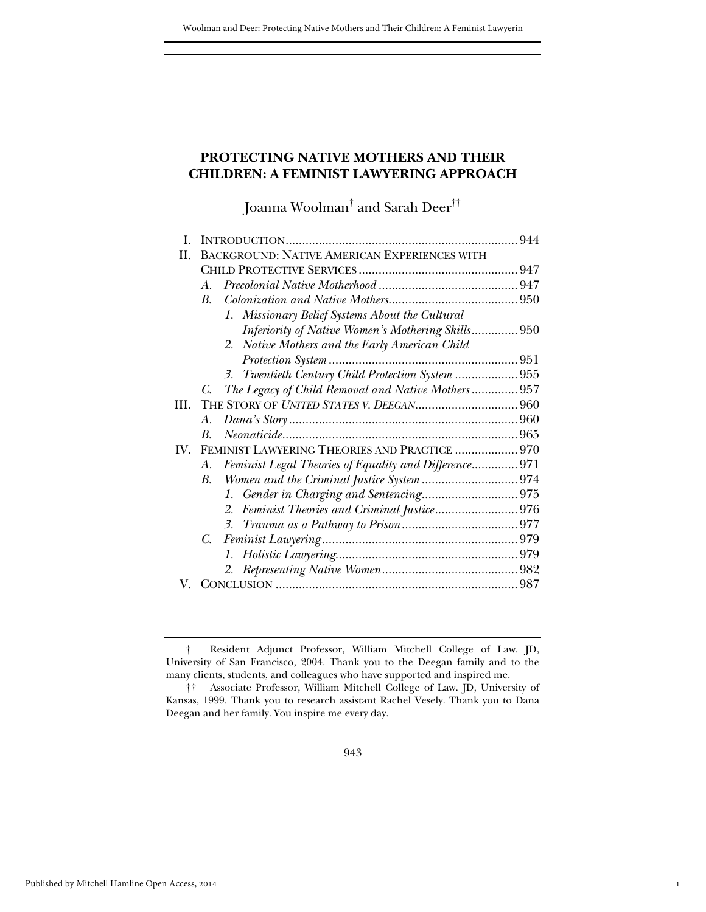# **PROTECTING NATIVE MOTHERS AND THEIR CHILDREN: A FEMINIST LAWYERING APPROACH**

Joanna Woolman<sup>†</sup> and Sarah Deer<sup>††</sup>

| L                     |                                                              |  |
|-----------------------|--------------------------------------------------------------|--|
| H.                    | <b>BACKGROUND: NATIVE AMERICAN EXPERIENCES WITH</b>          |  |
|                       |                                                              |  |
|                       | $A_{\cdot}$                                                  |  |
|                       | $\mathbf{B}$ .                                               |  |
|                       | 1. Missionary Belief Systems About the Cultural              |  |
|                       | Inferiority of Native Women's Mothering Skills 950           |  |
|                       | 2. Native Mothers and the Early American Child               |  |
|                       |                                                              |  |
|                       |                                                              |  |
|                       | The Legacy of Child Removal and Native Mothers 957<br>C.     |  |
| HL.                   |                                                              |  |
|                       | A.                                                           |  |
|                       | $\mathbf{B}$                                                 |  |
| $\mathbf{IV}_{\cdot}$ | FEMINIST LAWYERING THEORIES AND PRACTICE  970                |  |
|                       | Feminist Legal Theories of Equality and Difference 971<br>A. |  |
|                       | <i>B</i> .                                                   |  |
|                       |                                                              |  |
|                       | 2.                                                           |  |
|                       |                                                              |  |
|                       |                                                              |  |
|                       |                                                              |  |
|                       |                                                              |  |
|                       |                                                              |  |

1

† Resident Adjunct Professor, William Mitchell College of Law. JD, University of San Francisco, 2004. Thank you to the Deegan family and to the many clients, students, and colleagues who have supported and inspired me.

†† Associate Professor, William Mitchell College of Law. JD, University of Kansas, 1999. Thank you to research assistant Rachel Vesely. Thank you to Dana Deegan and her family. You inspire me every day.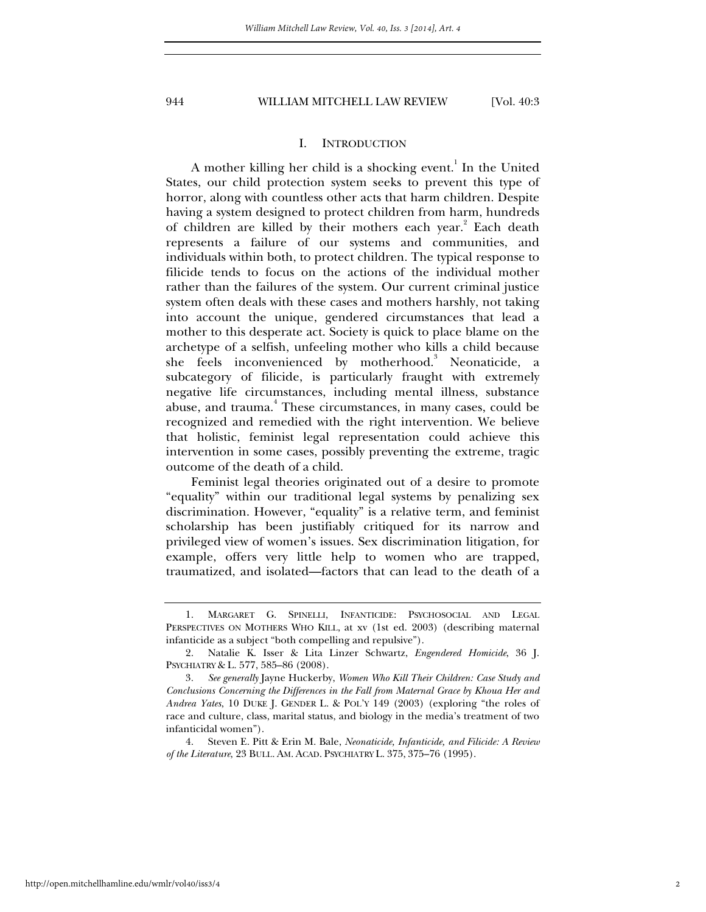#### I. INTRODUCTION

A mother killing her child is a shocking event.<sup>1</sup> In the United States, our child protection system seeks to prevent this type of horror, along with countless other acts that harm children. Despite having a system designed to protect children from harm, hundreds of children are killed by their mothers each year.<sup>2</sup> Each death represents a failure of our systems and communities, and individuals within both, to protect children. The typical response to filicide tends to focus on the actions of the individual mother rather than the failures of the system. Our current criminal justice system often deals with these cases and mothers harshly, not taking into account the unique, gendered circumstances that lead a mother to this desperate act. Society is quick to place blame on the archetype of a selfish, unfeeling mother who kills a child because she feels inconvenienced by motherhood.<sup>3</sup> Neonaticide, a subcategory of filicide, is particularly fraught with extremely negative life circumstances, including mental illness, substance abuse, and trauma.<sup>4</sup> These circumstances, in many cases, could be recognized and remedied with the right intervention. We believe that holistic, feminist legal representation could achieve this intervention in some cases, possibly preventing the extreme, tragic outcome of the death of a child.

Feminist legal theories originated out of a desire to promote "equality" within our traditional legal systems by penalizing sex discrimination. However, "equality" is a relative term, and feminist scholarship has been justifiably critiqued for its narrow and privileged view of women's issues. Sex discrimination litigation, for example, offers very little help to women who are trapped, traumatized, and isolated—factors that can lead to the death of a

 <sup>1.</sup> MARGARET G. SPINELLI, INFANTICIDE: PSYCHOSOCIAL AND LEGAL PERSPECTIVES ON MOTHERS WHO KILL, at xv (1st ed. 2003) (describing maternal infanticide as a subject "both compelling and repulsive").

 <sup>2.</sup> Natalie K. Isser & Lita Linzer Schwartz, *Engendered Homicide*, 36 J. PSYCHIATRY & L. 577, 585–86 (2008).

<sup>3</sup>*. See generally* Jayne Huckerby, *Women Who Kill Their Children: Case Study and Conclusions Concerning the Differences in the Fall from Maternal Grace by Khoua Her and Andrea Yates*, 10 DUKE J. GENDER L. & POL'Y 149 (2003) (exploring "the roles of race and culture, class, marital status, and biology in the media's treatment of two infanticidal women").

 <sup>4.</sup> Steven E. Pitt & Erin M. Bale, *Neonaticide, Infanticide, and Filicide: A Review of the Literature*, 23 BULL. AM. ACAD. PSYCHIATRY L. 375, 375–76 (1995).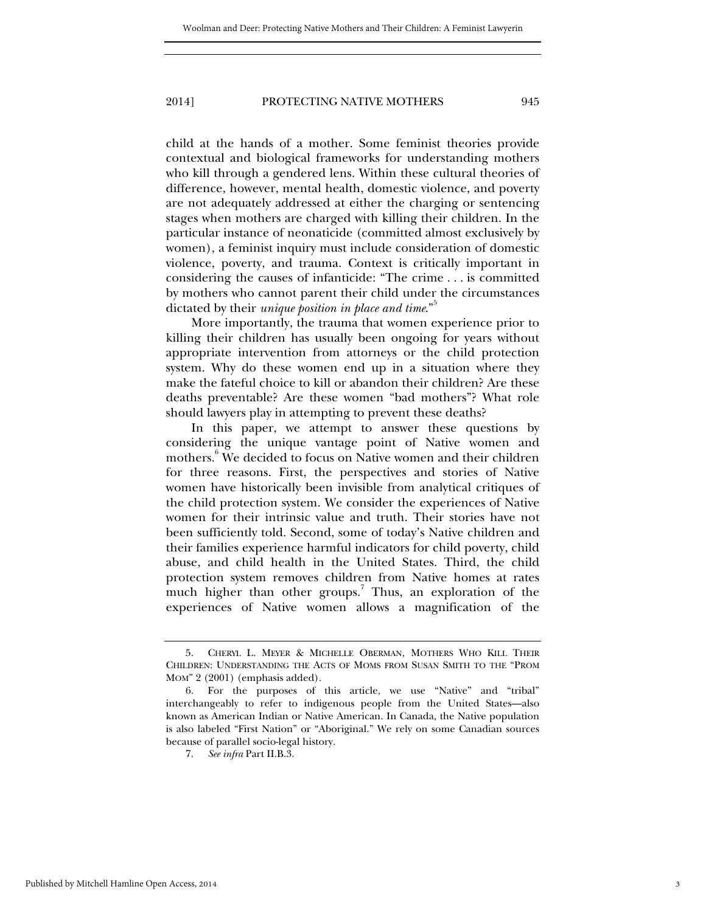child at the hands of a mother. Some feminist theories provide contextual and biological frameworks for understanding mothers who kill through a gendered lens. Within these cultural theories of difference, however, mental health, domestic violence, and poverty are not adequately addressed at either the charging or sentencing stages when mothers are charged with killing their children. In the particular instance of neonaticide (committed almost exclusively by women), a feminist inquiry must include consideration of domestic violence, poverty, and trauma. Context is critically important in considering the causes of infanticide: "The crime . . . is committed by mothers who cannot parent their child under the circumstances dictated by their *unique position in place and time*."<sup>5</sup>

More importantly, the trauma that women experience prior to killing their children has usually been ongoing for years without appropriate intervention from attorneys or the child protection system. Why do these women end up in a situation where they make the fateful choice to kill or abandon their children? Are these deaths preventable? Are these women "bad mothers"? What role should lawyers play in attempting to prevent these deaths?

In this paper, we attempt to answer these questions by considering the unique vantage point of Native women and mothers.<sup>6</sup> We decided to focus on Native women and their children for three reasons. First, the perspectives and stories of Native women have historically been invisible from analytical critiques of the child protection system. We consider the experiences of Native women for their intrinsic value and truth. Their stories have not been sufficiently told. Second, some of today's Native children and their families experience harmful indicators for child poverty, child abuse, and child health in the United States. Third, the child protection system removes children from Native homes at rates much higher than other groups.<sup>7</sup> Thus, an exploration of the experiences of Native women allows a magnification of the

 <sup>5.</sup> CHERYL L. MEYER & MICHELLE OBERMAN, MOTHERS WHO KILL THEIR CHILDREN: UNDERSTANDING THE ACTS OF MOMS FROM SUSAN SMITH TO THE "PROM MOM" 2 (2001) (emphasis added).

 <sup>6.</sup> For the purposes of this article, we use "Native" and "tribal" interchangeably to refer to indigenous people from the United States—also known as American Indian or Native American. In Canada, the Native population is also labeled "First Nation" or "Aboriginal." We rely on some Canadian sources because of parallel socio-legal history.

 <sup>7.</sup> *See infra* Part II.B.3.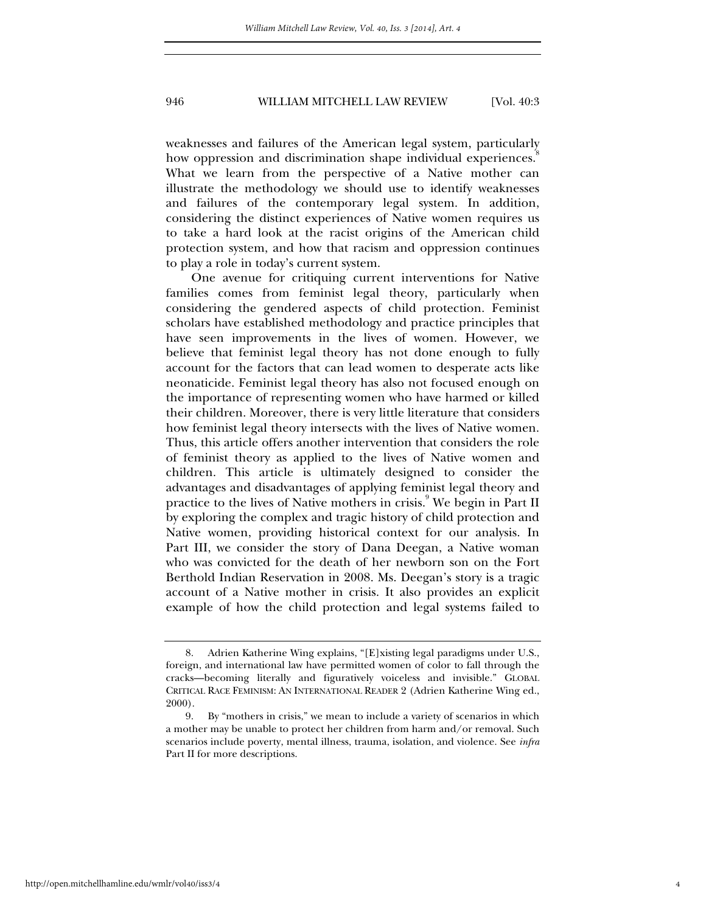weaknesses and failures of the American legal system, particularly how oppression and discrimination shape individual experiences.<sup>8</sup> What we learn from the perspective of a Native mother can illustrate the methodology we should use to identify weaknesses and failures of the contemporary legal system. In addition, considering the distinct experiences of Native women requires us to take a hard look at the racist origins of the American child protection system, and how that racism and oppression continues to play a role in today's current system.

One avenue for critiquing current interventions for Native families comes from feminist legal theory, particularly when considering the gendered aspects of child protection. Feminist scholars have established methodology and practice principles that have seen improvements in the lives of women. However, we believe that feminist legal theory has not done enough to fully account for the factors that can lead women to desperate acts like neonaticide. Feminist legal theory has also not focused enough on the importance of representing women who have harmed or killed their children. Moreover, there is very little literature that considers how feminist legal theory intersects with the lives of Native women. Thus, this article offers another intervention that considers the role of feminist theory as applied to the lives of Native women and children. This article is ultimately designed to consider the advantages and disadvantages of applying feminist legal theory and practice to the lives of Native mothers in crisis.<sup>9</sup> We begin in Part II by exploring the complex and tragic history of child protection and Native women, providing historical context for our analysis. In Part III, we consider the story of Dana Deegan, a Native woman who was convicted for the death of her newborn son on the Fort Berthold Indian Reservation in 2008. Ms. Deegan's story is a tragic account of a Native mother in crisis. It also provides an explicit example of how the child protection and legal systems failed to

 <sup>8.</sup> Adrien Katherine Wing explains, "[E]xisting legal paradigms under U.S., foreign, and international law have permitted women of color to fall through the cracks—becoming literally and figuratively voiceless and invisible." GLOBAL CRITICAL RACE FEMINISM: AN INTERNATIONAL READER 2 (Adrien Katherine Wing ed., 2000).

 <sup>9.</sup> By "mothers in crisis," we mean to include a variety of scenarios in which a mother may be unable to protect her children from harm and/or removal. Such scenarios include poverty, mental illness, trauma, isolation, and violence. See *infra*  Part II for more descriptions.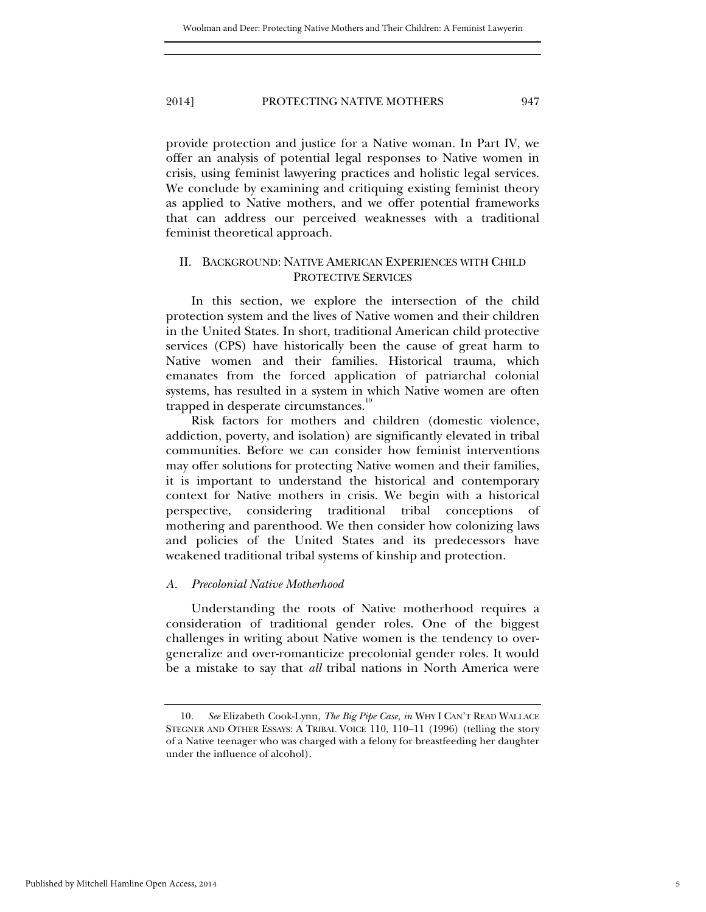provide protection and justice for a Native woman. In Part IV, we offer an analysis of potential legal responses to Native women in crisis, using feminist lawyering practices and holistic legal services. We conclude by examining and critiquing existing feminist theory as applied to Native mothers, and we offer potential frameworks that can address our perceived weaknesses with a traditional feminist theoretical approach.

## II. BACKGROUND: NATIVE AMERICAN EXPERIENCES WITH CHILD PROTECTIVE SERVICES

In this section, we explore the intersection of the child protection system and the lives of Native women and their children in the United States. In short, traditional American child protective services (CPS) have historically been the cause of great harm to Native women and their families. Historical trauma, which emanates from the forced application of patriarchal colonial systems, has resulted in a system in which Native women are often trapped in desperate circumstances.<sup>10</sup>

Risk factors for mothers and children (domestic violence, addiction, poverty, and isolation) are significantly elevated in tribal communities. Before we can consider how feminist interventions may offer solutions for protecting Native women and their families, it is important to understand the historical and contemporary context for Native mothers in crisis. We begin with a historical perspective, considering traditional tribal conceptions of mothering and parenthood. We then consider how colonizing laws and policies of the United States and its predecessors have weakened traditional tribal systems of kinship and protection.

#### *A. Precolonial Native Motherhood*

Understanding the roots of Native motherhood requires a consideration of traditional gender roles. One of the biggest challenges in writing about Native women is the tendency to overgeneralize and over-romanticize precolonial gender roles. It would be a mistake to say that *all* tribal nations in North America were

 <sup>10.</sup> *See* Elizabeth Cook-Lynn, *The Big Pipe Case*, *in* WHY I CAN'T READ WALLACE STEGNER AND OTHER ESSAYS: A TRIBAL VOICE 110, 110–11 (1996) (telling the story of a Native teenager who was charged with a felony for breastfeeding her daughter under the influence of alcohol).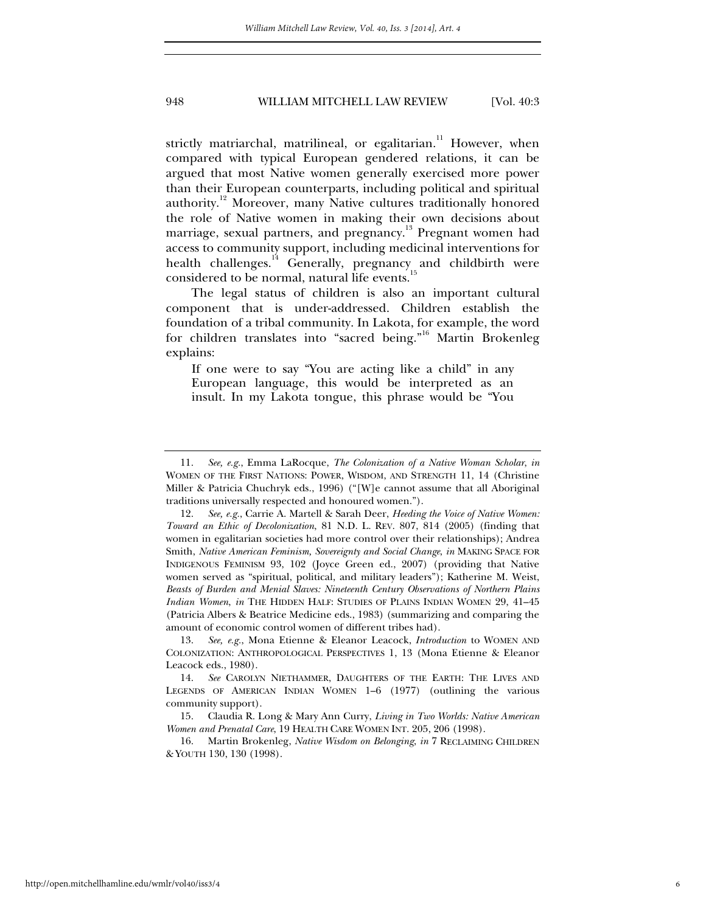strictly matriarchal, matrilineal, or egalitarian.<sup>11</sup> However, when compared with typical European gendered relations, it can be argued that most Native women generally exercised more power than their European counterparts, including political and spiritual authority.<sup>12</sup> Moreover, many Native cultures traditionally honored the role of Native women in making their own decisions about marriage, sexual partners, and pregnancy.<sup>13</sup> Pregnant women had access to community support, including medicinal interventions for health challenges. $^{14}$  Generally, pregnancy and childbirth were considered to be normal, natural life events.<sup>15</sup>

The legal status of children is also an important cultural component that is under-addressed. Children establish the foundation of a tribal community. In Lakota, for example, the word for children translates into "sacred being."16 Martin Brokenleg explains:

If one were to say "You are acting like a child" in any European language, this would be interpreted as an insult. In my Lakota tongue, this phrase would be "You

 <sup>11.</sup> *See, e.g.*, Emma LaRocque, *The Colonization of a Native Woman Scholar*, *in* WOMEN OF THE FIRST NATIONS: POWER, WISDOM, AND STRENGTH 11, 14 (Christine Miller & Patricia Chuchryk eds., 1996) ("[W]e cannot assume that all Aboriginal traditions universally respected and honoured women.").

 <sup>12.</sup> *See, e.g.*, Carrie A. Martell & Sarah Deer, *Heeding the Voice of Native Women: Toward an Ethic of Decolonization*, 81 N.D. L. REV. 807, 814 (2005) (finding that women in egalitarian societies had more control over their relationships); Andrea Smith, *Native American Feminism, Sovereignty and Social Change*, *in* MAKING SPACE FOR INDIGENOUS FEMINISM 93, 102 (Joyce Green ed., 2007) (providing that Native women served as "spiritual, political, and military leaders"); Katherine M. Weist, *Beasts of Burden and Menial Slaves: Nineteenth Century Observations of Northern Plains Indian Women*, *in* THE HIDDEN HALF: STUDIES OF PLAINS INDIAN WOMEN 29, 41–45 (Patricia Albers & Beatrice Medicine eds., 1983) (summarizing and comparing the amount of economic control women of different tribes had).

 <sup>13.</sup> *See, e.g.*, Mona Etienne & Eleanor Leacock, *Introduction* to WOMEN AND COLONIZATION: ANTHROPOLOGICAL PERSPECTIVES 1, 13 (Mona Etienne & Eleanor Leacock eds., 1980).

 <sup>14.</sup> *See* CAROLYN NIETHAMMER, DAUGHTERS OF THE EARTH: THE LIVES AND LEGENDS OF AMERICAN INDIAN WOMEN 1–6 (1977) (outlining the various community support).

 <sup>15.</sup> Claudia R. Long & Mary Ann Curry, *Living in Two Worlds: Native American Women and Prenatal Care*, 19 HEALTH CARE WOMEN INT. 205, 206 (1998).

 <sup>16.</sup> Martin Brokenleg, *Native Wisdom on Belonging*, *in* 7 RECLAIMING CHILDREN & YOUTH 130, 130 (1998).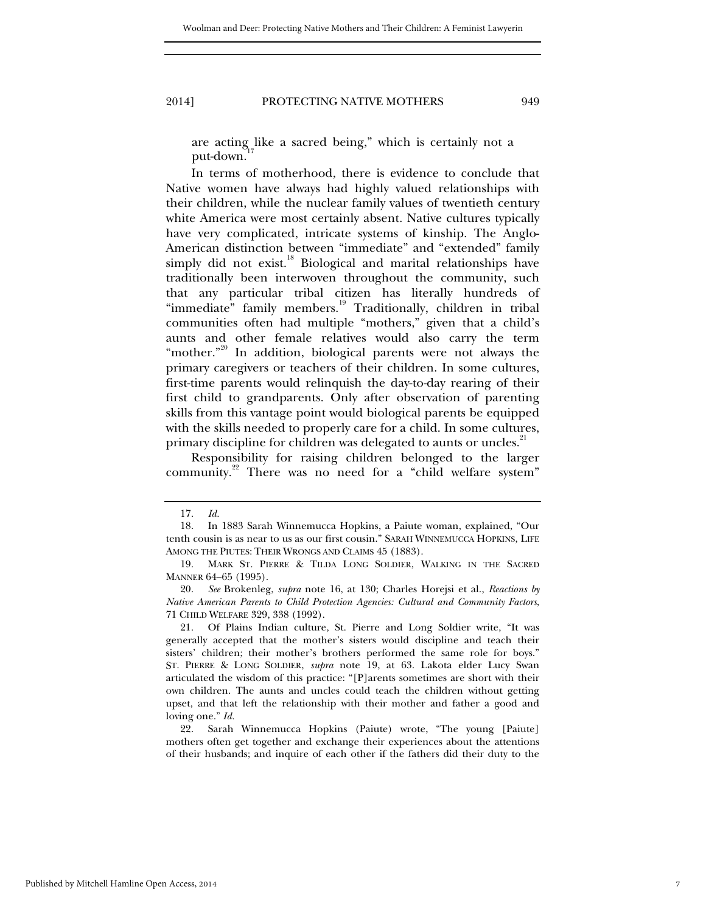are acting like a sacred being," which is certainly not a put-down.

In terms of motherhood, there is evidence to conclude that Native women have always had highly valued relationships with their children, while the nuclear family values of twentieth century white America were most certainly absent. Native cultures typically have very complicated, intricate systems of kinship. The Anglo-American distinction between "immediate" and "extended" family simply did not exist.<sup>18</sup> Biological and marital relationships have traditionally been interwoven throughout the community, such that any particular tribal citizen has literally hundreds of "immediate" family members.<sup>19</sup> Traditionally, children in tribal communities often had multiple "mothers," given that a child's aunts and other female relatives would also carry the term "mother."<sup>20</sup> In addition, biological parents were not always the primary caregivers or teachers of their children. In some cultures, first-time parents would relinquish the day-to-day rearing of their first child to grandparents. Only after observation of parenting skills from this vantage point would biological parents be equipped with the skills needed to properly care for a child. In some cultures, primary discipline for children was delegated to aunts or uncles.<sup>21</sup>

Responsibility for raising children belonged to the larger community. $22$  There was no need for a "child welfare system"

 <sup>17.</sup> *Id.*

 <sup>18.</sup> In 1883 Sarah Winnemucca Hopkins, a Paiute woman, explained, "Our tenth cousin is as near to us as our first cousin." SARAH WINNEMUCCA HOPKINS, LIFE AMONG THE PIUTES: THEIR WRONGS AND CLAIMS 45 (1883).

 <sup>19.</sup> MARK ST. PIERRE & TILDA LONG SOLDIER, WALKING IN THE SACRED MANNER 64–65 (1995).

 <sup>20.</sup> *See* Brokenleg, *supra* note 16, at 130; Charles Horejsi et al., *Reactions by Native American Parents to Child Protection Agencies: Cultural and Community Factors*, 71 CHILD WELFARE 329, 338 (1992).

 <sup>21.</sup> Of Plains Indian culture, St. Pierre and Long Soldier write, "It was generally accepted that the mother's sisters would discipline and teach their sisters' children; their mother's brothers performed the same role for boys." ST. PIERRE & LONG SOLDIER, *supra* note 19, at 63. Lakota elder Lucy Swan articulated the wisdom of this practice: "[P]arents sometimes are short with their own children. The aunts and uncles could teach the children without getting upset, and that left the relationship with their mother and father a good and loving one." *Id.*

 <sup>22.</sup> Sarah Winnemucca Hopkins (Paiute) wrote, "The young [Paiute] mothers often get together and exchange their experiences about the attentions of their husbands; and inquire of each other if the fathers did their duty to the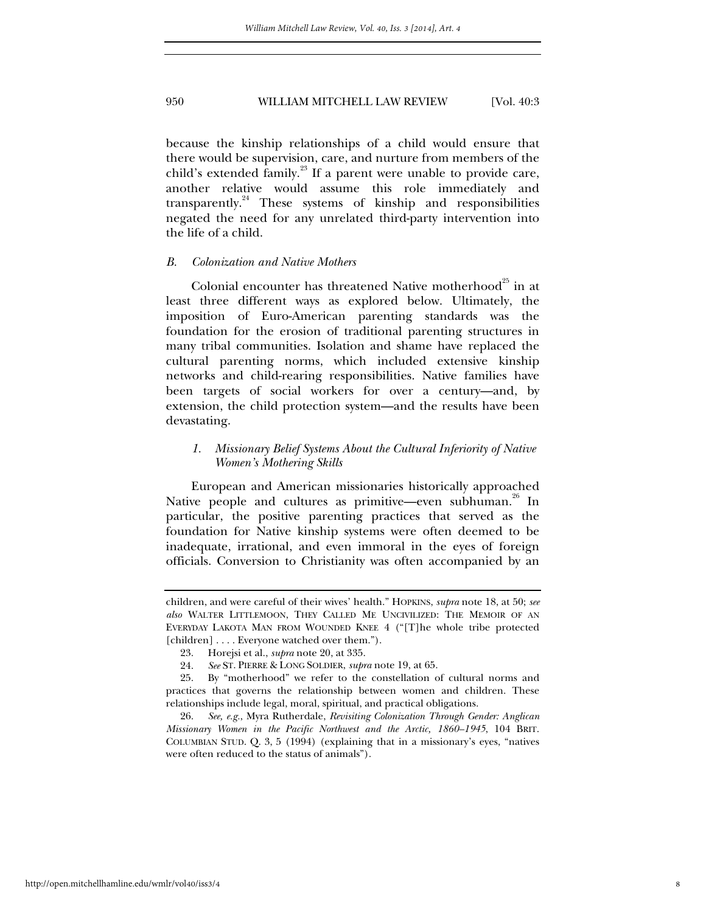because the kinship relationships of a child would ensure that there would be supervision, care, and nurture from members of the child's extended family.<sup>23</sup> If a parent were unable to provide care, another relative would assume this role immediately and transparently. $24$  These systems of kinship and responsibilities negated the need for any unrelated third-party intervention into the life of a child.

#### *B. Colonization and Native Mothers*

Colonial encounter has threatened Native motherhood<sup>25</sup> in at least three different ways as explored below. Ultimately, the imposition of Euro-American parenting standards was the foundation for the erosion of traditional parenting structures in many tribal communities. Isolation and shame have replaced the cultural parenting norms, which included extensive kinship networks and child-rearing responsibilities. Native families have been targets of social workers for over a century—and, by extension, the child protection system—and the results have been devastating.

## *1. Missionary Belief Systems About the Cultural Inferiority of Native Women's Mothering Skills*

European and American missionaries historically approached Native people and cultures as primitive—even subhuman.<sup>26</sup> In particular, the positive parenting practices that served as the foundation for Native kinship systems were often deemed to be inadequate, irrational, and even immoral in the eyes of foreign officials. Conversion to Christianity was often accompanied by an

children, and were careful of their wives' health." HOPKINS, *supra* note 18, at 50; *see also* WALTER LITTLEMOON, THEY CALLED ME UNCIVILIZED: THE MEMOIR OF AN EVERYDAY LAKOTA MAN FROM WOUNDED KNEE 4 ("[T]he whole tribe protected [children]  $\dots$  Everyone watched over them.").

 <sup>23.</sup> Horejsi et al., *supra* note 20, at 335.

 <sup>24.</sup> *See* ST. PIERRE & LONG SOLDIER, *supra* note 19, at 65.

 <sup>25.</sup> By "motherhood" we refer to the constellation of cultural norms and practices that governs the relationship between women and children. These relationships include legal, moral, spiritual, and practical obligations.

 <sup>26.</sup> *See, e.g.*, Myra Rutherdale, *Revisiting Colonization Through Gender: Anglican Missionary Women in the Pacific Northwest and the Arctic, 1860–1945*, 104 BRIT. COLUMBIAN STUD. Q. 3, 5 (1994) (explaining that in a missionary's eyes, "natives were often reduced to the status of animals").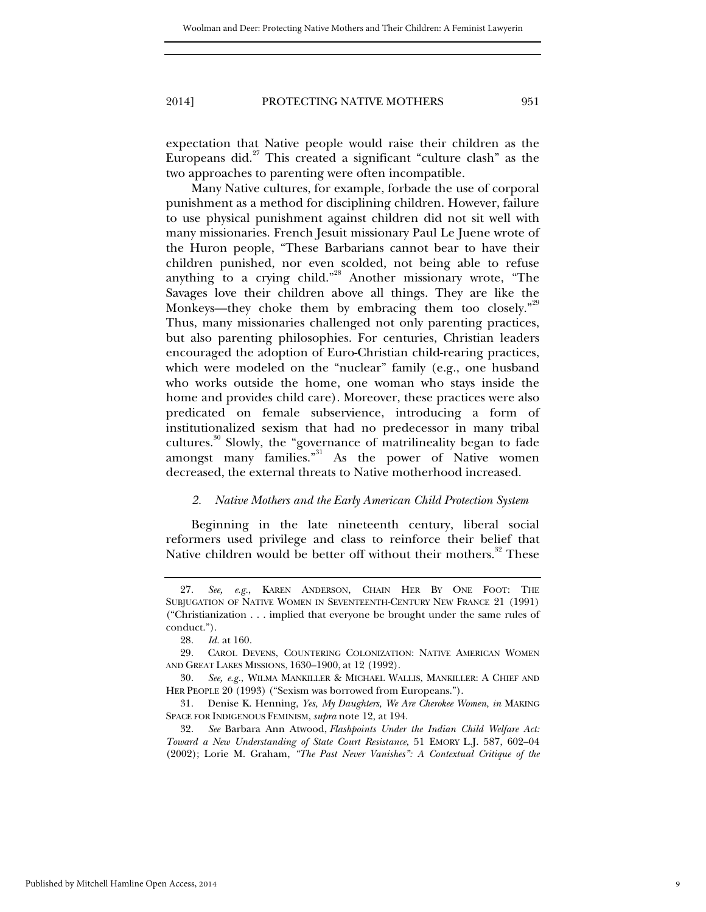expectation that Native people would raise their children as the Europeans did.<sup>27</sup> This created a significant "culture clash" as the two approaches to parenting were often incompatible.

Many Native cultures, for example, forbade the use of corporal punishment as a method for disciplining children. However, failure to use physical punishment against children did not sit well with many missionaries. French Jesuit missionary Paul Le Juene wrote of the Huron people, "These Barbarians cannot bear to have their children punished, nor even scolded, not being able to refuse anything to a crying child."28 Another missionary wrote, "The Savages love their children above all things. They are like the Monkeys—they choke them by embracing them too closely."<sup>29</sup> Thus, many missionaries challenged not only parenting practices, but also parenting philosophies. For centuries, Christian leaders encouraged the adoption of Euro-Christian child-rearing practices, which were modeled on the "nuclear" family (e.g., one husband who works outside the home, one woman who stays inside the home and provides child care). Moreover, these practices were also predicated on female subservience, introducing a form of institutionalized sexism that had no predecessor in many tribal cultures.<sup>30</sup> Slowly, the "governance of matrilineality began to fade amongst many families."<sup>31</sup> As the power of Native women decreased, the external threats to Native motherhood increased.

#### *2. Native Mothers and the Early American Child Protection System*

Beginning in the late nineteenth century, liberal social reformers used privilege and class to reinforce their belief that Native children would be better off without their mothers.<sup>32</sup> These

 <sup>27.</sup> *See, e.g.*, KAREN ANDERSON, CHAIN HER BY ONE FOOT: THE SUBJUGATION OF NATIVE WOMEN IN SEVENTEENTH-CENTURY NEW FRANCE 21 (1991) ("Christianization . . . implied that everyone be brought under the same rules of conduct.").

 <sup>28.</sup> *Id.* at 160.

 <sup>29.</sup> CAROL DEVENS, COUNTERING COLONIZATION: NATIVE AMERICAN WOMEN AND GREAT LAKES MISSIONS, 1630–1900, at 12 (1992).

 <sup>30.</sup> *See, e.g.*, WILMA MANKILLER & MICHAEL WALLIS, MANKILLER: A CHIEF AND HER PEOPLE 20 (1993) ("Sexism was borrowed from Europeans.").

 <sup>31.</sup> Denise K. Henning, *Yes, My Daughters, We Are Cherokee Women*, *in* MAKING SPACE FOR INDIGENOUS FEMINISM, *supra* note 12, at 194.

 <sup>32.</sup> *See* Barbara Ann Atwood, *Flashpoints Under the Indian Child Welfare Act: Toward a New Understanding of State Court Resistance*, 51 EMORY L.J. 587, 602–04 (2002); Lorie M. Graham, *"The Past Never Vanishes": A Contextual Critique of the*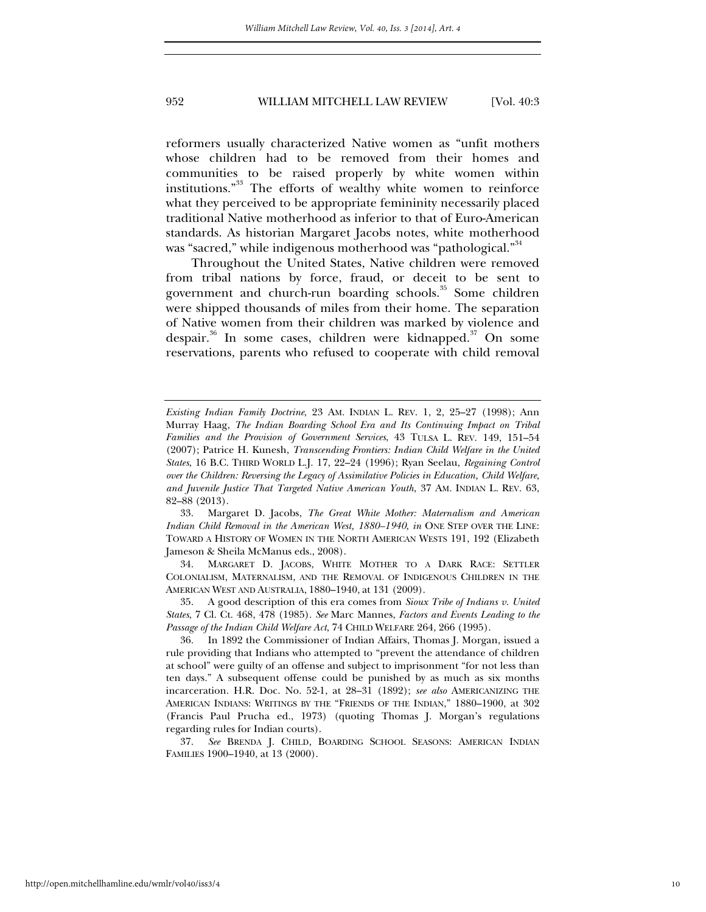reformers usually characterized Native women as "unfit mothers whose children had to be removed from their homes and communities to be raised properly by white women within institutions."33 The efforts of wealthy white women to reinforce what they perceived to be appropriate femininity necessarily placed traditional Native motherhood as inferior to that of Euro-American standards. As historian Margaret Jacobs notes, white motherhood was "sacred," while indigenous motherhood was "pathological."<sup>34</sup>

Throughout the United States, Native children were removed from tribal nations by force, fraud, or deceit to be sent to government and church-run boarding schools.<sup>35</sup> Some children were shipped thousands of miles from their home. The separation of Native women from their children was marked by violence and despair.<sup>36</sup> In some cases, children were kidnapped.<sup>37</sup> On some reservations, parents who refused to cooperate with child removal

 34. MARGARET D. JACOBS, WHITE MOTHER TO A DARK RACE: SETTLER COLONIALISM, MATERNALISM, AND THE REMOVAL OF INDIGENOUS CHILDREN IN THE AMERICAN WEST AND AUSTRALIA, 1880–1940, at 131 (2009).

*Existing Indian Family Doctrine*, 23 AM. INDIAN L. REV. 1, 2, 25–27 (1998); Ann Murray Haag, *The Indian Boarding School Era and Its Continuing Impact on Tribal Families and the Provision of Government Services*, 43 TULSA L. REV. 149, 151–54 (2007); Patrice H. Kunesh, *Transcending Frontiers: Indian Child Welfare in the United States*, 16 B.C. THIRD WORLD L.J. 17, 22–24 (1996); Ryan Seelau, *Regaining Control over the Children: Reversing the Legacy of Assimilative Policies in Education, Child Welfare, and Juvenile Justice That Targeted Native American Youth*, 37 AM. INDIAN L. REV. 63, 82–88 (2013).

 <sup>33.</sup> Margaret D. Jacobs, *The Great White Mother: Maternalism and American Indian Child Removal in the American West, 1880–1940*, *in* ONE STEP OVER THE LINE: TOWARD A HISTORY OF WOMEN IN THE NORTH AMERICAN WESTS 191, 192 (Elizabeth Jameson & Sheila McManus eds., 2008).

 <sup>35.</sup> A good description of this era comes from *Sioux Tribe of Indians v. United States*, 7 Cl. Ct. 468, 478 (1985). *See* Marc Mannes, *Factors and Events Leading to the Passage of the Indian Child Welfare Act*, 74 CHILD WELFARE 264, 266 (1995).

 <sup>36.</sup> In 1892 the Commissioner of Indian Affairs, Thomas J. Morgan, issued a rule providing that Indians who attempted to "prevent the attendance of children at school" were guilty of an offense and subject to imprisonment "for not less than ten days." A subsequent offense could be punished by as much as six months incarceration. H.R. Doc. No. 52-1, at 28–31 (1892); *see also* AMERICANIZING THE AMERICAN INDIANS: WRITINGS BY THE "FRIENDS OF THE INDIAN," 1880–1900, at 302 (Francis Paul Prucha ed., 1973) (quoting Thomas J. Morgan's regulations regarding rules for Indian courts).

 <sup>37.</sup> *See* BRENDA J. CHILD, BOARDING SCHOOL SEASONS: AMERICAN INDIAN FAMILIES 1900–1940, at 13 (2000).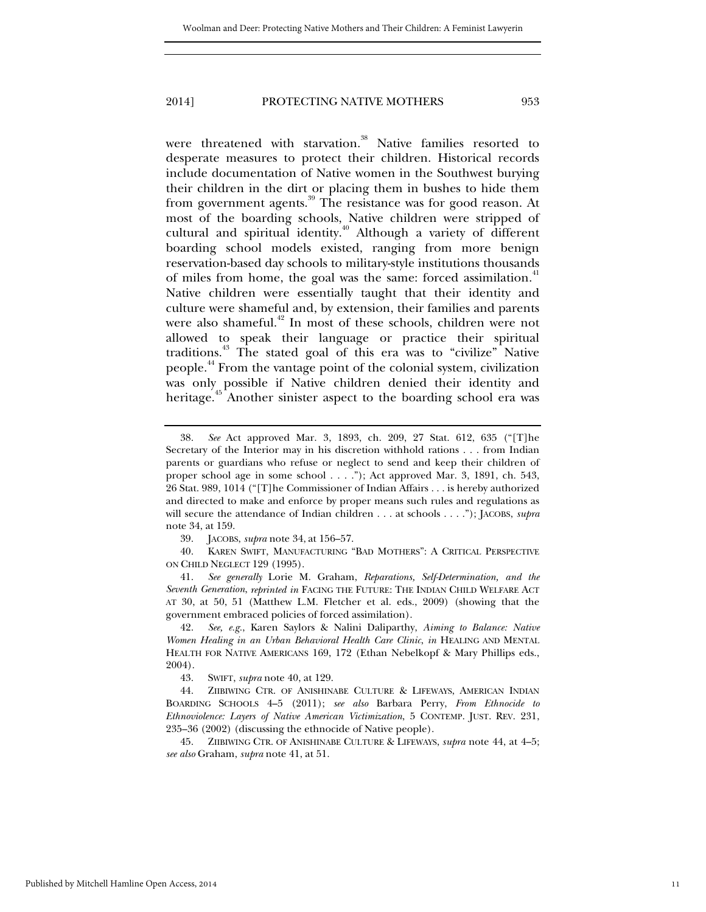were threatened with starvation.<sup>38</sup> Native families resorted to desperate measures to protect their children. Historical records include documentation of Native women in the Southwest burying their children in the dirt or placing them in bushes to hide them from government agents.<sup>39</sup> The resistance was for good reason. At most of the boarding schools, Native children were stripped of cultural and spiritual identity.<sup>40</sup> Although a variety of different boarding school models existed, ranging from more benign reservation-based day schools to military-style institutions thousands of miles from home, the goal was the same: forced assimilation.<sup>41</sup> Native children were essentially taught that their identity and culture were shameful and, by extension, their families and parents were also shameful.<sup>42</sup> In most of these schools, children were not allowed to speak their language or practice their spiritual traditions.<sup>43</sup> The stated goal of this era was to "civilize" Native people.44 From the vantage point of the colonial system, civilization was only possible if Native children denied their identity and heritage.<sup>45</sup> Another sinister aspect to the boarding school era was

39. JACOBS, *supra* note 34, at 156–57.

 40. KAREN SWIFT, MANUFACTURING "BAD MOTHERS": A CRITICAL PERSPECTIVE ON CHILD NEGLECT 129 (1995).

 41. *See generally* Lorie M. Graham, *Reparations, Self-Determination, and the Seventh Generation*, *reprinted in* FACING THE FUTURE: THE INDIAN CHILD WELFARE ACT AT 30, at 50, 51 (Matthew L.M. Fletcher et al. eds., 2009) (showing that the government embraced policies of forced assimilation).

 42. *See, e.g.*, Karen Saylors & Nalini Daliparthy, *Aiming to Balance: Native Women Healing in an Urban Behavioral Health Care Clinic*, *in* HEALING AND MENTAL HEALTH FOR NATIVE AMERICANS 169, 172 (Ethan Nebelkopf & Mary Phillips eds., 2004).

43. SWIFT, *supra* note 40, at 129.

 45. ZIIBIWING CTR. OF ANISHINABE CULTURE & LIFEWAYS, *supra* note 44, at 4–5; *see also* Graham, *supra* note 41, at 51.

 <sup>38.</sup> *See* Act approved Mar. 3, 1893, ch. 209, 27 Stat. 612, 635 ("[T]he Secretary of the Interior may in his discretion withhold rations . . . from Indian parents or guardians who refuse or neglect to send and keep their children of proper school age in some school . . . ."); Act approved Mar. 3, 1891, ch. 543, 26 Stat. 989, 1014 ("[T]he Commissioner of Indian Affairs . . . is hereby authorized and directed to make and enforce by proper means such rules and regulations as will secure the attendance of Indian children . . . at schools . . . ."); JACOBS, *supra*  note 34, at 159.

 <sup>44.</sup> ZIIBIWING CTR. OF ANISHINABE CULTURE & LIFEWAYS, AMERICAN INDIAN BOARDING SCHOOLS 4–5 (2011); *see also* Barbara Perry, *From Ethnocide to Ethnoviolence: Layers of Native American Victimization*, 5 CONTEMP. JUST. REV. 231, 235–36 (2002) (discussing the ethnocide of Native people).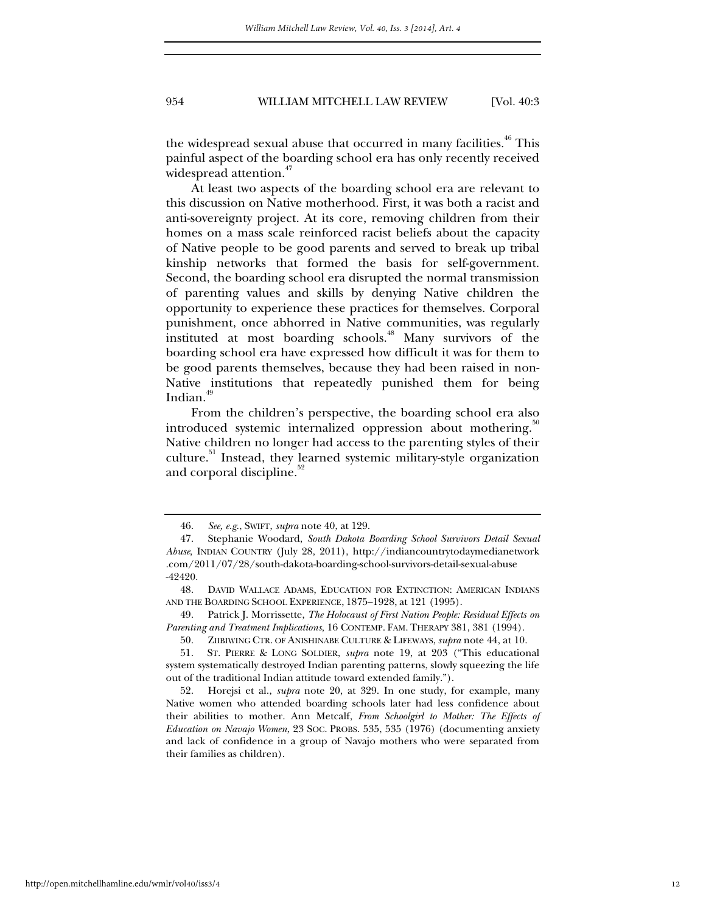the widespread sexual abuse that occurred in many facilities.<sup>46</sup> This painful aspect of the boarding school era has only recently received widespread attention.<sup>47</sup>

At least two aspects of the boarding school era are relevant to this discussion on Native motherhood. First, it was both a racist and anti-sovereignty project. At its core, removing children from their homes on a mass scale reinforced racist beliefs about the capacity of Native people to be good parents and served to break up tribal kinship networks that formed the basis for self-government. Second, the boarding school era disrupted the normal transmission of parenting values and skills by denying Native children the opportunity to experience these practices for themselves. Corporal punishment, once abhorred in Native communities, was regularly instituted at most boarding schools.48 Many survivors of the boarding school era have expressed how difficult it was for them to be good parents themselves, because they had been raised in non-Native institutions that repeatedly punished them for being Indian.<sup>4</sup>

From the children's perspective, the boarding school era also introduced systemic internalized oppression about mothering.<sup>31</sup> Native children no longer had access to the parenting styles of their culture.<sup>51</sup> Instead, they learned systemic military-style organization and corporal discipline.<sup>52</sup>

 <sup>46.</sup> *See, e.g*., SWIFT, *supra* note 40, at 129.

 <sup>47.</sup> Stephanie Woodard, *South Dakota Boarding School Survivors Detail Sexual Abuse*, INDIAN COUNTRY (July 28, 2011), http://indiancountrytodaymedianetwork .com/2011/07/28/south-dakota-boarding-school-survivors-detail-sexual-abuse -42420.

 <sup>48.</sup> DAVID WALLACE ADAMS, EDUCATION FOR EXTINCTION: AMERICAN INDIANS AND THE BOARDING SCHOOL EXPERIENCE, 1875–1928, at 121 (1995).

 <sup>49.</sup> Patrick J. Morrissette, *The Holocaust of First Nation People: Residual Effects on Parenting and Treatment Implications*, 16 CONTEMP. FAM. THERAPY 381, 381 (1994).

 <sup>50.</sup> ZIIBIWING CTR. OF ANISHINABE CULTURE & LIFEWAYS, *supra* note 44, at 10.

 <sup>51.</sup> ST. PIERRE & LONG SOLDIER, *supra* note 19, at 203 ("This educational system systematically destroyed Indian parenting patterns, slowly squeezing the life out of the traditional Indian attitude toward extended family.").

 <sup>52.</sup> Horejsi et al., *supra* note 20, at 329. In one study, for example, many Native women who attended boarding schools later had less confidence about their abilities to mother. Ann Metcalf, *From Schoolgirl to Mother: The Effects of Education on Navajo Women*, 23 SOC. PROBS. 535, 535 (1976) (documenting anxiety and lack of confidence in a group of Navajo mothers who were separated from their families as children).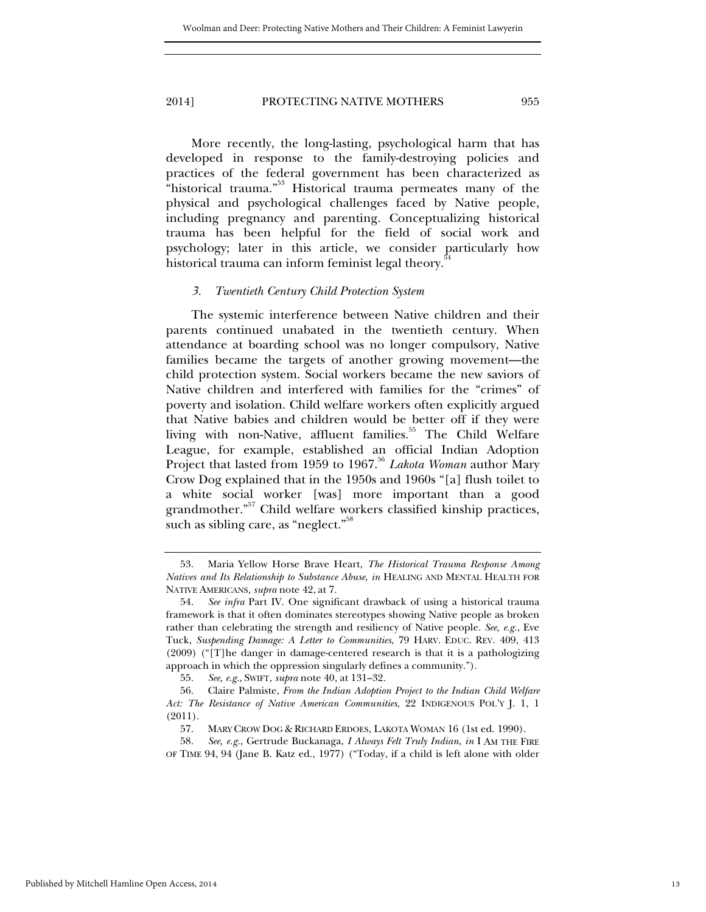More recently, the long-lasting, psychological harm that has developed in response to the family-destroying policies and practices of the federal government has been characterized as "historical trauma."<sup>53</sup> Historical trauma permeates many of the physical and psychological challenges faced by Native people, including pregnancy and parenting. Conceptualizing historical trauma has been helpful for the field of social work and psychology; later in this article, we consider particularly how historical trauma can inform feminist legal theory.

#### *3. Twentieth Century Child Protection System*

The systemic interference between Native children and their parents continued unabated in the twentieth century. When attendance at boarding school was no longer compulsory, Native families became the targets of another growing movement—the child protection system. Social workers became the new saviors of Native children and interfered with families for the "crimes" of poverty and isolation. Child welfare workers often explicitly argued that Native babies and children would be better off if they were living with non-Native, affluent families.<sup>55</sup> The Child Welfare League, for example, established an official Indian Adoption Project that lasted from 1959 to 1967.<sup>56</sup> *Lakota Woman* author Mary Crow Dog explained that in the 1950s and 1960s "[a] flush toilet to a white social worker [was] more important than a good grandmother."<sup>57</sup> Child welfare workers classified kinship practices, such as sibling care, as "neglect."<sup>58</sup>

 <sup>53.</sup> Maria Yellow Horse Brave Heart, *The Historical Trauma Response Among Natives and Its Relationship to Substance Abuse*, *in* HEALING AND MENTAL HEALTH FOR NATIVE AMERICANS, *supra* note 42, at 7.

 <sup>54.</sup> *See infra* Part IV. One significant drawback of using a historical trauma framework is that it often dominates stereotypes showing Native people as broken rather than celebrating the strength and resiliency of Native people. *See, e.g.*, Eve Tuck, *Suspending Damage: A Letter to Communities*, 79 HARV. EDUC. REV. 409, 413 (2009) ("[T]he danger in damage-centered research is that it is a pathologizing approach in which the oppression singularly defines a community.").

 <sup>55.</sup> *See, e.g.*, SWIFT, *supra* note 40, at 131–32.

 <sup>56.</sup> Claire Palmiste, *From the Indian Adoption Project to the Indian Child Welfare Act: The Resistance of Native American Communities*, 22 INDIGENOUS POL'Y J. 1, 1 (2011).

 <sup>57.</sup> MARY CROW DOG & RICHARD ERDOES, LAKOTA WOMAN 16 (1st ed. 1990).

 <sup>58.</sup> *See, e.g.*, Gertrude Buckanaga, *I Always Felt Truly Indian*, *in* I AM THE FIRE OF TIME 94, 94 (Jane B. Katz ed., 1977) ("Today, if a child is left alone with older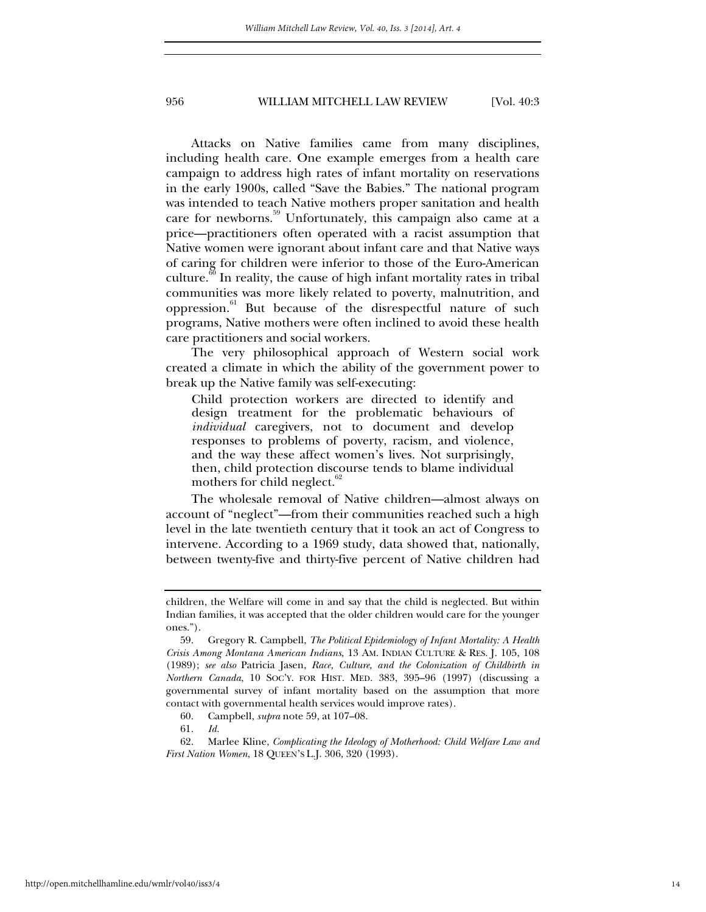Attacks on Native families came from many disciplines, including health care. One example emerges from a health care campaign to address high rates of infant mortality on reservations in the early 1900s, called "Save the Babies." The national program was intended to teach Native mothers proper sanitation and health care for newborns.59 Unfortunately, this campaign also came at a price—practitioners often operated with a racist assumption that Native women were ignorant about infant care and that Native ways of caring for children were inferior to those of the Euro-American culture.<sup>60</sup> In reality, the cause of high infant mortality rates in tribal communities was more likely related to poverty, malnutrition, and oppression.<sup>61</sup> But because of the disrespectful nature of such programs, Native mothers were often inclined to avoid these health care practitioners and social workers.

The very philosophical approach of Western social work created a climate in which the ability of the government power to break up the Native family was self-executing:

Child protection workers are directed to identify and design treatment for the problematic behaviours of *individual* caregivers, not to document and develop responses to problems of poverty, racism, and violence, and the way these affect women's lives. Not surprisingly, then, child protection discourse tends to blame individual mothers for child neglect.<sup>02</sup>

The wholesale removal of Native children—almost always on account of "neglect"—from their communities reached such a high level in the late twentieth century that it took an act of Congress to intervene. According to a 1969 study, data showed that, nationally, between twenty-five and thirty-five percent of Native children had

 62. Marlee Kline, *Complicating the Ideology of Motherhood: Child Welfare Law and First Nation Women*, 18 QUEEN'S L.J. 306, 320 (1993).

children, the Welfare will come in and say that the child is neglected. But within Indian families, it was accepted that the older children would care for the younger ones.").

 <sup>59.</sup> Gregory R. Campbell, *The Political Epidemiology of Infant Mortality: A Health Crisis Among Montana American Indians*, 13 AM. INDIAN CULTURE & RES. J. 105, 108 (1989); *see also* Patricia Jasen, *Race, Culture, and the Colonization of Childbirth in Northern Canada*, 10 SOC'Y. FOR HIST. MED. 383, 395–96 (1997) (discussing a governmental survey of infant mortality based on the assumption that more contact with governmental health services would improve rates).

 <sup>60.</sup> Campbell, *supra* note 59, at 107–08.

 <sup>61.</sup> *Id.*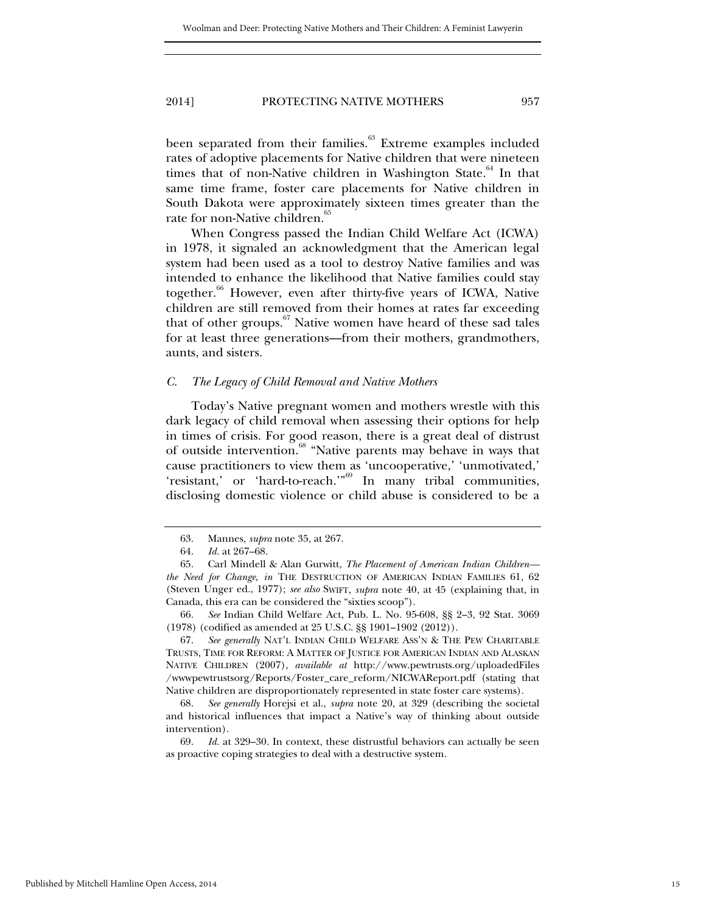been separated from their families.<sup>63</sup> Extreme examples included rates of adoptive placements for Native children that were nineteen times that of non-Native children in Washington State.<sup>64</sup> In that same time frame, foster care placements for Native children in South Dakota were approximately sixteen times greater than the rate for non-Native children.<sup>65</sup>

When Congress passed the Indian Child Welfare Act (ICWA) in 1978, it signaled an acknowledgment that the American legal system had been used as a tool to destroy Native families and was intended to enhance the likelihood that Native families could stay together.<sup>66</sup> However, even after thirty-five years of ICWA, Native children are still removed from their homes at rates far exceeding that of other groups. $67$  Native women have heard of these sad tales for at least three generations—from their mothers, grandmothers, aunts, and sisters.

#### *C. The Legacy of Child Removal and Native Mothers*

Today's Native pregnant women and mothers wrestle with this dark legacy of child removal when assessing their options for help in times of crisis. For good reason, there is a great deal of distrust of outside intervention.<sup>68</sup> "Native parents may behave in ways that cause practitioners to view them as 'uncooperative,' 'unmotivated,' 'resistant,' or 'hard-to-reach.'"<sup>69</sup> In many tribal communities, disclosing domestic violence or child abuse is considered to be a

 <sup>63.</sup> Mannes, *supra* note 35, at 267.

 <sup>64.</sup> *Id.* at 267–68.

 <sup>65.</sup> Carl Mindell & Alan Gurwitt, *The Placement of American Indian Children the Need for Change*, *in* THE DESTRUCTION OF AMERICAN INDIAN FAMILIES 61, 62 (Steven Unger ed., 1977); *see also* SWIFT, *supra* note 40, at 45 (explaining that, in Canada, this era can be considered the "sixties scoop").

 <sup>66.</sup> *See* Indian Child Welfare Act, Pub. L. No. 95-608, §§ 2–3, 92 Stat. 3069 (1978) (codified as amended at 25 U.S.C. §§ 1901–1902 (2012)).

 <sup>67.</sup> *See generally* NAT'L INDIAN CHILD WELFARE ASS'N & THE PEW CHARITABLE TRUSTS, TIME FOR REFORM: A MATTER OF JUSTICE FOR AMERICAN INDIAN AND ALASKAN NATIVE CHILDREN (2007), *available at* http://www.pewtrusts.org/uploadedFiles /wwwpewtrustsorg/Reports/Foster\_care\_reform/NICWAReport.pdf (stating that Native children are disproportionately represented in state foster care systems).

 <sup>68.</sup> *See generally* Horejsi et al., *supra* note 20, at 329 (describing the societal and historical influences that impact a Native's way of thinking about outside intervention).

 <sup>69.</sup> *Id.* at 329–30. In context, these distrustful behaviors can actually be seen as proactive coping strategies to deal with a destructive system.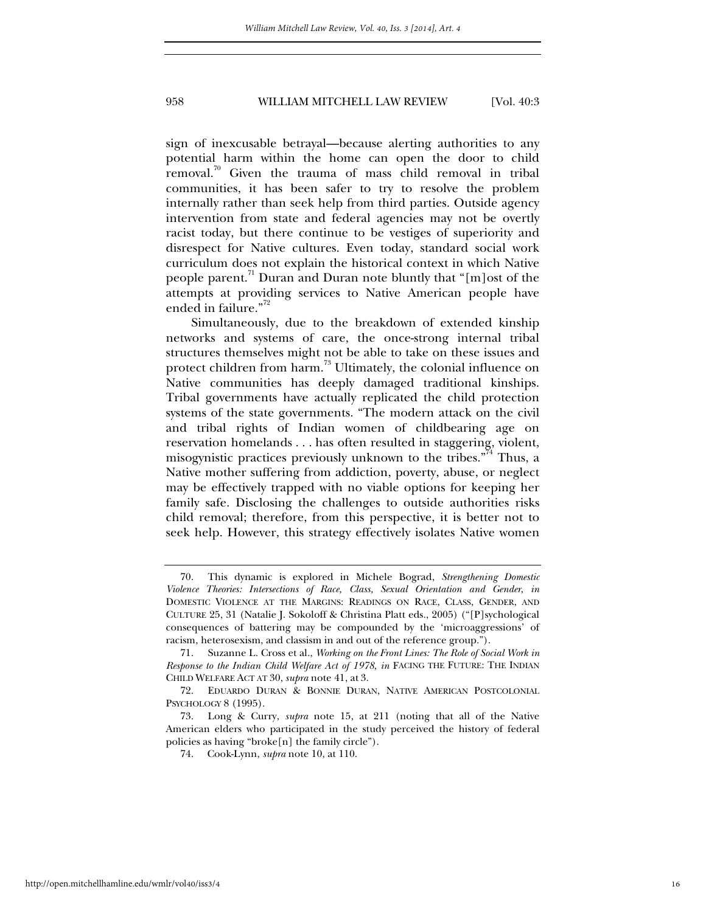sign of inexcusable betrayal—because alerting authorities to any potential harm within the home can open the door to child removal.<sup>70</sup> Given the trauma of mass child removal in tribal communities, it has been safer to try to resolve the problem internally rather than seek help from third parties. Outside agency intervention from state and federal agencies may not be overtly racist today, but there continue to be vestiges of superiority and disrespect for Native cultures. Even today, standard social work curriculum does not explain the historical context in which Native people parent.<sup>71</sup> Duran and Duran note bluntly that "[m]ost of the attempts at providing services to Native American people have ended in failure." $2^{\frac{1}{2}}$ 

Simultaneously, due to the breakdown of extended kinship networks and systems of care, the once-strong internal tribal structures themselves might not be able to take on these issues and protect children from harm.<sup>73</sup> Ultimately, the colonial influence on Native communities has deeply damaged traditional kinships. Tribal governments have actually replicated the child protection systems of the state governments. "The modern attack on the civil and tribal rights of Indian women of childbearing age on reservation homelands . . . has often resulted in staggering, violent, misogynistic practices previously unknown to the tribes."<sup>74</sup> Thus, a Native mother suffering from addiction, poverty, abuse, or neglect may be effectively trapped with no viable options for keeping her family safe. Disclosing the challenges to outside authorities risks child removal; therefore, from this perspective, it is better not to seek help. However, this strategy effectively isolates Native women

 <sup>70.</sup> This dynamic is explored in Michele Bograd, *Strengthening Domestic Violence Theories: Intersections of Race, Class, Sexual Orientation and Gender*, *in* DOMESTIC VIOLENCE AT THE MARGINS: READINGS ON RACE, CLASS, GENDER, AND CULTURE 25, 31 (Natalie J. Sokoloff & Christina Platt eds., 2005) ("[P]sychological consequences of battering may be compounded by the 'microaggressions' of racism, heterosexism, and classism in and out of the reference group.").

 <sup>71.</sup> Suzanne L. Cross et al., *Working on the Front Lines: The Role of Social Work in Response to the Indian Child Welfare Act of 1978*, *in* FACING THE FUTURE: THE INDIAN CHILD WELFARE ACT AT 30, *supra* note 41, at 3.

 <sup>72.</sup> EDUARDO DURAN & BONNIE DURAN, NATIVE AMERICAN POSTCOLONIAL PSYCHOLOGY 8 (1995).

 <sup>73.</sup> Long & Curry, *supra* note 15, at 211 (noting that all of the Native American elders who participated in the study perceived the history of federal policies as having "broke[n] the family circle").

 <sup>74.</sup> Cook-Lynn, *supra* note 10, at 110.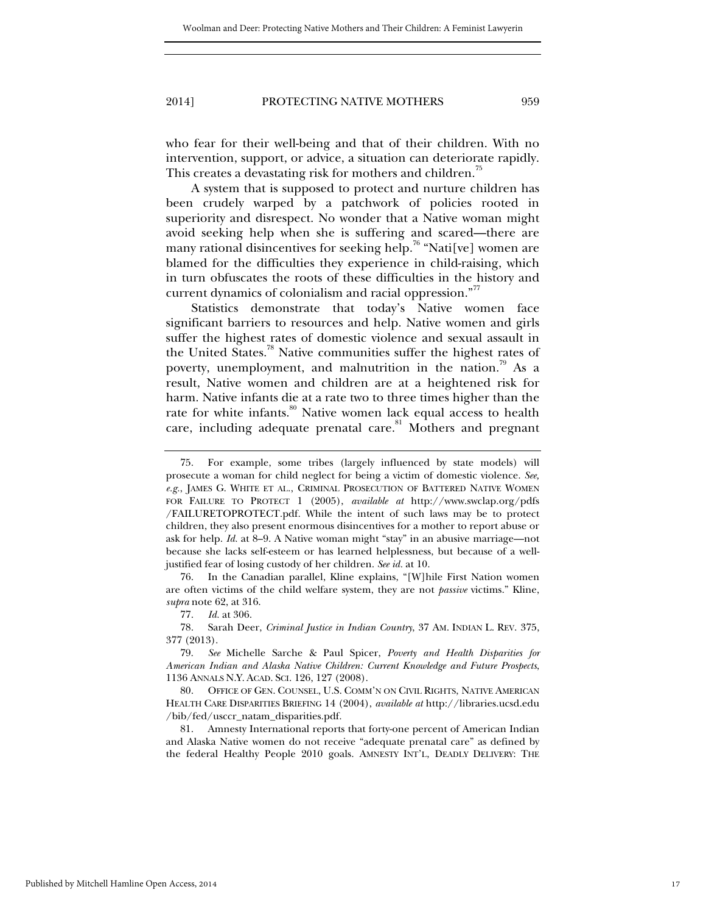who fear for their well-being and that of their children. With no intervention, support, or advice, a situation can deteriorate rapidly. This creates a devastating risk for mothers and children.<sup>15</sup>

A system that is supposed to protect and nurture children has been crudely warped by a patchwork of policies rooted in superiority and disrespect. No wonder that a Native woman might avoid seeking help when she is suffering and scared—there are many rational disincentives for seeking help.<sup>76</sup> "Nati[ve] women are blamed for the difficulties they experience in child-raising, which in turn obfuscates the roots of these difficulties in the history and current dynamics of colonialism and racial oppression. $\mathbf{r}^{\prime\prime}$ 

Statistics demonstrate that today's Native women face significant barriers to resources and help. Native women and girls suffer the highest rates of domestic violence and sexual assault in the United States.<sup>78</sup> Native communities suffer the highest rates of poverty, unemployment, and malnutrition in the nation.<sup>79</sup> As a result, Native women and children are at a heightened risk for harm. Native infants die at a rate two to three times higher than the rate for white infants.<sup>80</sup> Native women lack equal access to health care, including adequate prenatal care.<sup>81</sup> Mothers and pregnant

 76. In the Canadian parallel, Kline explains, "[W]hile First Nation women are often victims of the child welfare system, they are not *passive* victims." Kline, *supra* note 62, at 316.

77. *Id.* at 306.

 78. Sarah Deer, *Criminal Justice in Indian Country*, 37 AM. INDIAN L. REV. 375, 377 (2013).

 80. OFFICE OF GEN. COUNSEL, U.S. COMM'N ON CIVIL RIGHTS, NATIVE AMERICAN HEALTH CARE DISPARITIES BRIEFING 14 (2004), *available at* http://libraries.ucsd.edu /bib/fed/usccr\_natam\_disparities.pdf.

 81. Amnesty International reports that forty-one percent of American Indian and Alaska Native women do not receive "adequate prenatal care" as defined by the federal Healthy People 2010 goals. AMNESTY INT'L, DEADLY DELIVERY: THE

 <sup>75.</sup> For example, some tribes (largely influenced by state models) will prosecute a woman for child neglect for being a victim of domestic violence. *See, e.g.*, JAMES G. WHITE ET AL., CRIMINAL PROSECUTION OF BATTERED NATIVE WOMEN FOR FAILURE TO PROTECT 1 (2005), *available at* http://www.swclap.org/pdfs /FAILURETOPROTECT.pdf. While the intent of such laws may be to protect children, they also present enormous disincentives for a mother to report abuse or ask for help. *Id.* at 8–9. A Native woman might "stay" in an abusive marriage—not because she lacks self-esteem or has learned helplessness, but because of a welljustified fear of losing custody of her children. *See id.* at 10.

 <sup>79.</sup> *See* Michelle Sarche & Paul Spicer, *Poverty and Health Disparities for American Indian and Alaska Native Children: Current Knowledge and Future Prospects*, 1136 ANNALS N.Y. ACAD. SCI. 126, 127 (2008).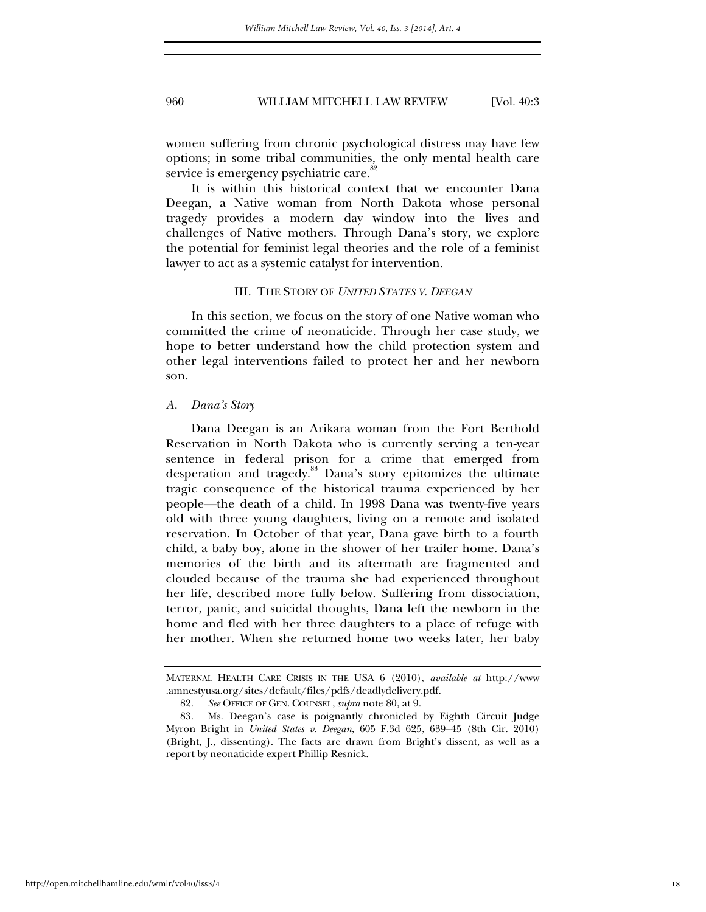women suffering from chronic psychological distress may have few options; in some tribal communities, the only mental health care service is emergency psychiatric care.<sup>82</sup>

It is within this historical context that we encounter Dana Deegan, a Native woman from North Dakota whose personal tragedy provides a modern day window into the lives and challenges of Native mothers. Through Dana's story, we explore the potential for feminist legal theories and the role of a feminist lawyer to act as a systemic catalyst for intervention.

## III. THE STORY OF *UNITED STATES V. DEEGAN*

In this section, we focus on the story of one Native woman who committed the crime of neonaticide. Through her case study, we hope to better understand how the child protection system and other legal interventions failed to protect her and her newborn son.

#### *A. Dana's Story*

Dana Deegan is an Arikara woman from the Fort Berthold Reservation in North Dakota who is currently serving a ten-year sentence in federal prison for a crime that emerged from desperation and tragedy.<sup>83</sup> Dana's story epitomizes the ultimate tragic consequence of the historical trauma experienced by her people—the death of a child. In 1998 Dana was twenty-five years old with three young daughters, living on a remote and isolated reservation. In October of that year, Dana gave birth to a fourth child, a baby boy, alone in the shower of her trailer home. Dana's memories of the birth and its aftermath are fragmented and clouded because of the trauma she had experienced throughout her life, described more fully below. Suffering from dissociation, terror, panic, and suicidal thoughts, Dana left the newborn in the home and fled with her three daughters to a place of refuge with her mother. When she returned home two weeks later, her baby

MATERNAL HEALTH CARE CRISIS IN THE USA 6 (2010), *available at* http://www .amnestyusa.org/sites/default/files/pdfs/deadlydelivery.pdf.

 <sup>82.</sup> *See* OFFICE OF GEN. COUNSEL, *supra* note 80, at 9.

 <sup>83.</sup> Ms. Deegan's case is poignantly chronicled by Eighth Circuit Judge Myron Bright in *United States v. Deegan*, 605 F.3d 625, 639–45 (8th Cir. 2010) (Bright, J., dissenting). The facts are drawn from Bright's dissent, as well as a report by neonaticide expert Phillip Resnick.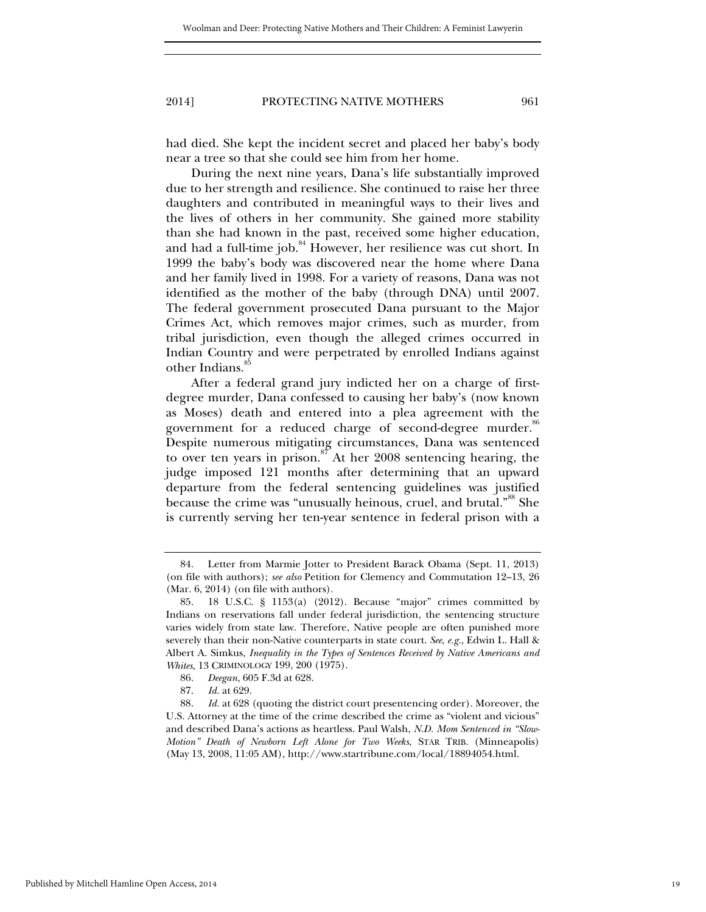had died. She kept the incident secret and placed her baby's body near a tree so that she could see him from her home.

During the next nine years, Dana's life substantially improved due to her strength and resilience. She continued to raise her three daughters and contributed in meaningful ways to their lives and the lives of others in her community. She gained more stability than she had known in the past, received some higher education, and had a full-time job.<sup>84</sup> However, her resilience was cut short. In 1999 the baby's body was discovered near the home where Dana and her family lived in 1998. For a variety of reasons, Dana was not identified as the mother of the baby (through DNA) until 2007. The federal government prosecuted Dana pursuant to the Major Crimes Act, which removes major crimes, such as murder, from tribal jurisdiction, even though the alleged crimes occurred in Indian Country and were perpetrated by enrolled Indians against other Indians.<sup>85</sup>

After a federal grand jury indicted her on a charge of firstdegree murder, Dana confessed to causing her baby's (now known as Moses) death and entered into a plea agreement with the government for a reduced charge of second-degree murder.<sup>86</sup> Despite numerous mitigating circumstances, Dana was sentenced to over ten years in prison.<sup>87</sup> At her 2008 sentencing hearing, the judge imposed 121 months after determining that an upward departure from the federal sentencing guidelines was justified because the crime was "unusually heinous, cruel, and brutal."<sup>88</sup> She is currently serving her ten-year sentence in federal prison with a

 <sup>84.</sup> Letter from Marmie Jotter to President Barack Obama (Sept. 11, 2013) (on file with authors); *see also* Petition for Clemency and Commutation 12–13, 26 (Mar. 6, 2014) (on file with authors).

 <sup>85. 18</sup> U.S.C. § 1153(a) (2012). Because "major" crimes committed by Indians on reservations fall under federal jurisdiction, the sentencing structure varies widely from state law. Therefore, Native people are often punished more severely than their non-Native counterparts in state court. *See*, *e.g.*, Edwin L. Hall & Albert A. Simkus, *Inequality in the Types of Sentences Received by Native Americans and Whites*, 13 CRIMINOLOGY 199, 200 (1975).

 <sup>86.</sup> *Deegan*, 605 F.3d at 628.

 <sup>87.</sup> *Id.* at 629.

 <sup>88.</sup> *Id.* at 628 (quoting the district court presentencing order). Moreover, the U.S. Attorney at the time of the crime described the crime as "violent and vicious" and described Dana's actions as heartless. Paul Walsh, *N.D. Mom Sentenced in "Slow-Motion" Death of Newborn Left Alone for Two Weeks*, STAR TRIB. (Minneapolis) (May 13, 2008, 11:05 AM), http://www.startribune.com/local/18894054.html.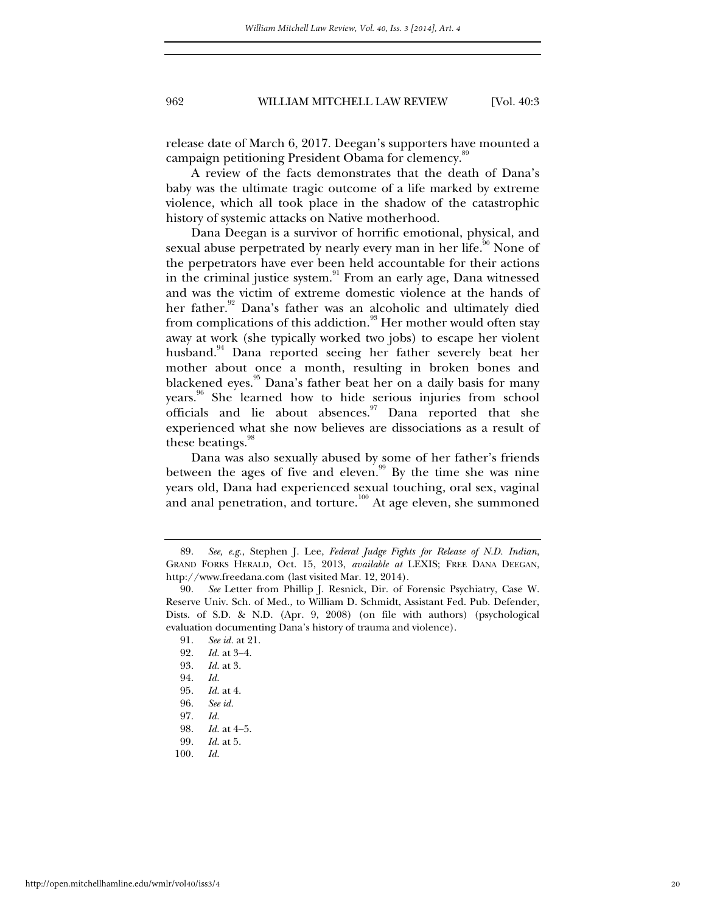release date of March 6, 2017. Deegan's supporters have mounted a campaign petitioning President Obama for clemency.<sup>8</sup>

A review of the facts demonstrates that the death of Dana's baby was the ultimate tragic outcome of a life marked by extreme violence, which all took place in the shadow of the catastrophic history of systemic attacks on Native motherhood.

Dana Deegan is a survivor of horrific emotional, physical, and sexual abuse perpetrated by nearly every man in her life.<sup>90</sup> None of the perpetrators have ever been held accountable for their actions in the criminal justice system.<sup>91</sup> From an early age, Dana witnessed and was the victim of extreme domestic violence at the hands of her father.<sup>92</sup> Dana's father was an alcoholic and ultimately died from complications of this addiction.<sup>93</sup> Her mother would often stay away at work (she typically worked two jobs) to escape her violent husband.<sup>94</sup> Dana reported seeing her father severely beat her mother about once a month, resulting in broken bones and blackened eyes.<sup>95</sup> Dana's father beat her on a daily basis for many years.<sup>96</sup> She learned how to hide serious injuries from school officials and lie about absences. $97$  Dana reported that she experienced what she now believes are dissociations as a result of these beatings.<sup>98</sup>

Dana was also sexually abused by some of her father's friends between the ages of five and eleven.<sup>99</sup> By the time she was nine years old, Dana had experienced sexual touching, oral sex, vaginal and anal penetration, and torture.<sup>100</sup> At age eleven, she summoned

 <sup>89.</sup> *See, e.g.*, Stephen J. Lee, *Federal Judge Fights for Release of N.D. Indian*, GRAND FORKS HERALD, Oct. 15, 2013, *available at* LEXIS; FREE DANA DEEGAN, http://www.freedana.com (last visited Mar. 12, 2014).

 <sup>90.</sup> *See* Letter from Phillip J. Resnick, Dir. of Forensic Psychiatry, Case W. Reserve Univ. Sch. of Med., to William D. Schmidt, Assistant Fed. Pub. Defender, Dists. of S.D. & N.D. (Apr. 9, 2008) (on file with authors) (psychological evaluation documenting Dana's history of trauma and violence).

 <sup>91.</sup> *See id.* at 21.

 <sup>92.</sup> *Id.* at 3–4.

 <sup>93.</sup> *Id.* at 3.

 <sup>94.</sup> *Id.* 

 <sup>95.</sup> *Id.* at 4.

 <sup>96.</sup> *See id.*

 <sup>97.</sup> *Id.*

 <sup>98.</sup> *Id.* at 4–5.

 <sup>99.</sup> *Id.* at 5.

 <sup>100.</sup> *Id.*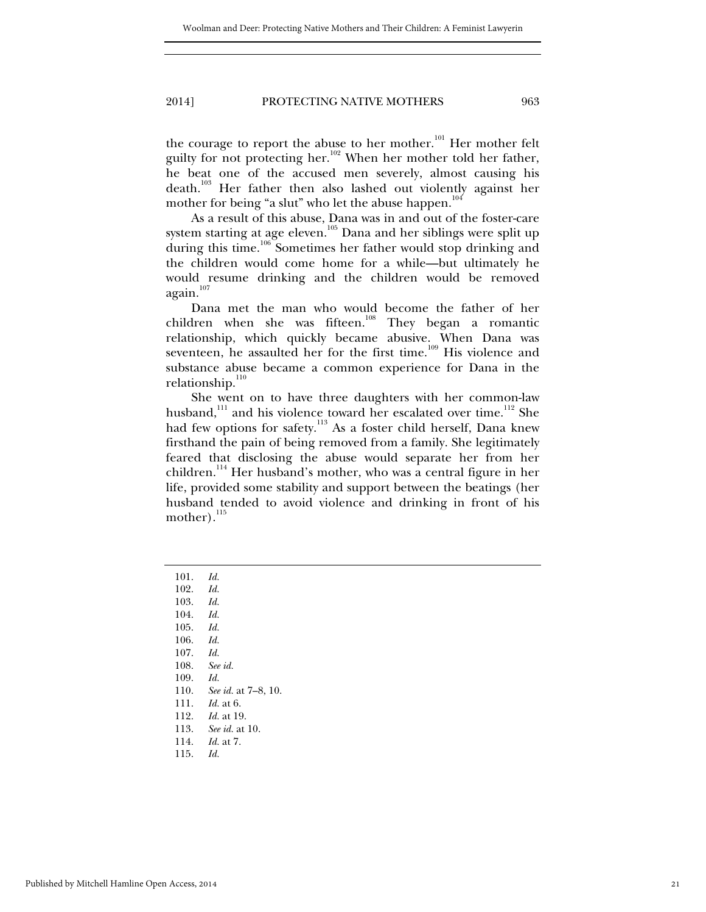the courage to report the abuse to her mother.<sup>101</sup> Her mother felt guilty for not protecting her.<sup>102</sup> When her mother told her father, he beat one of the accused men severely, almost causing his death.103 Her father then also lashed out violently against her mother for being "a slut" who let the abuse happen. $104$ 

As a result of this abuse, Dana was in and out of the foster-care system starting at age eleven.<sup>105</sup> Dana and her siblings were split up during this time.<sup>106</sup> Sometimes her father would stop drinking and the children would come home for a while—but ultimately he would resume drinking and the children would be removed again.<sup>107</sup>

Dana met the man who would become the father of her children when she was fifteen.<sup>108</sup> They began a romantic relationship, which quickly became abusive. When Dana was seventeen, he assaulted her for the first time.<sup>109</sup> His violence and substance abuse became a common experience for Dana in the relationship.<sup>110</sup>

She went on to have three daughters with her common-law husband, $111$  and his violence toward her escalated over time.<sup>112</sup> She had few options for safety.<sup>113</sup> As a foster child herself, Dana knew firsthand the pain of being removed from a family. She legitimately feared that disclosing the abuse would separate her from her children.<sup>114</sup> Her husband's mother, who was a central figure in her life, provided some stability and support between the beatings (her husband tended to avoid violence and drinking in front of his mother). $^{115}$ 

102. *Id.*

103. *Id.*

104. *Id.*

105. *Id.*

106. *Id.*

107. *Id.*

 108. *See id.* 109. *Id.*

110. *See id.* at 7–8, 10.

111. *Id.* at 6.

112. *Id.* at 19.

113. *See id.* at 10.

114. *Id.* at 7.

115. *Id.* 

21

 <sup>101.</sup> *Id.*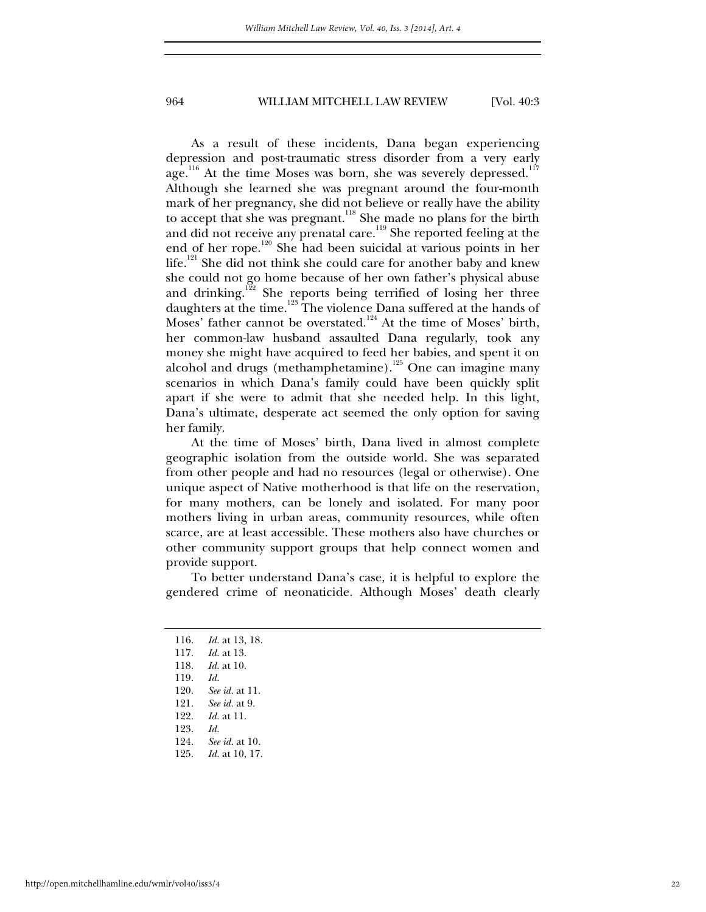As a result of these incidents, Dana began experiencing depression and post-traumatic stress disorder from a very early age.<sup>116</sup> At the time Moses was born, she was severely depressed.<sup>11</sup> Although she learned she was pregnant around the four-month mark of her pregnancy, she did not believe or really have the ability to accept that she was pregnant.<sup>118</sup> She made no plans for the birth and did not receive any prenatal care.<sup>119</sup> She reported feeling at the end of her rope.<sup>120</sup> She had been suicidal at various points in her life.<sup>121</sup> She did not think she could care for another baby and knew she could not go home because of her own father's physical abuse and drinking.<sup>122</sup> She reports being terrified of losing her three daughters at the time.<sup>123</sup> The violence Dana suffered at the hands of Moses' father cannot be overstated.<sup>124</sup> At the time of Moses' birth, her common-law husband assaulted Dana regularly, took any money she might have acquired to feed her babies, and spent it on alcohol and drugs (methamphetamine).<sup>125</sup> One can imagine many scenarios in which Dana's family could have been quickly split apart if she were to admit that she needed help. In this light, Dana's ultimate, desperate act seemed the only option for saving her family.

At the time of Moses' birth, Dana lived in almost complete geographic isolation from the outside world. She was separated from other people and had no resources (legal or otherwise). One unique aspect of Native motherhood is that life on the reservation, for many mothers, can be lonely and isolated. For many poor mothers living in urban areas, community resources, while often scarce, are at least accessible. These mothers also have churches or other community support groups that help connect women and provide support.

To better understand Dana's case, it is helpful to explore the gendered crime of neonaticide. Although Moses' death clearly

- 116. *Id.* at 13, 18.
- 117. *Id.* at 13.
- 118. *Id.* at 10.
- 119. *Id.*
- 120. *See id.* at 11.
- 121. *See id.* at 9.
- 122. *Id.* at 11.
- 123. *Id.*
- 124. *See id.* at 10.
- 125. *Id.* at 10, 17.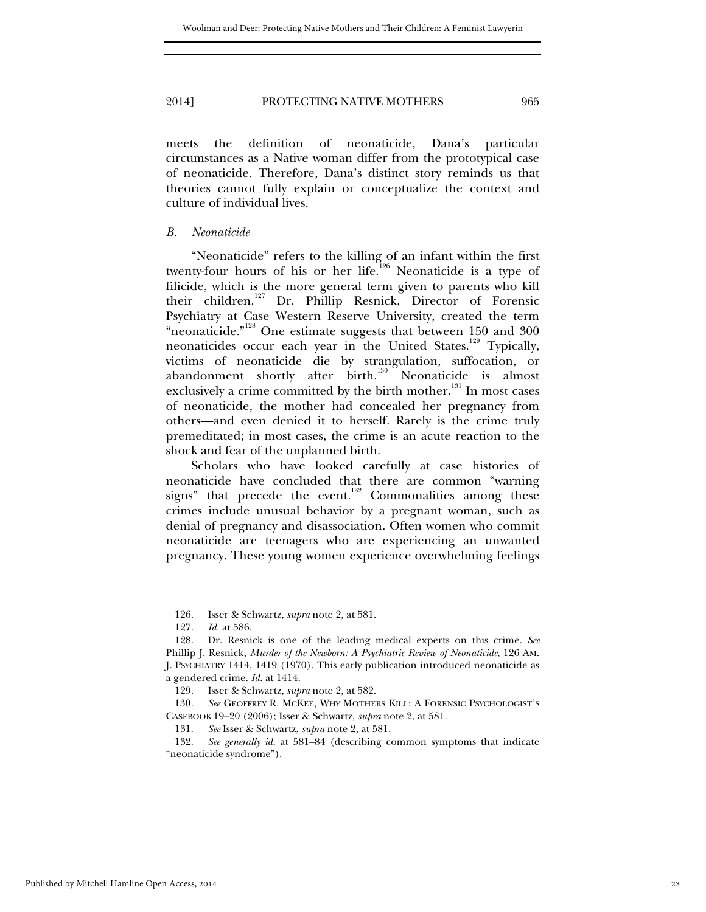meets the definition of neonaticide, Dana's particular circumstances as a Native woman differ from the prototypical case of neonaticide. Therefore, Dana's distinct story reminds us that theories cannot fully explain or conceptualize the context and culture of individual lives.

#### *B. Neonaticide*

"Neonaticide" refers to the killing of an infant within the first twenty-four hours of his or her life.<sup>126</sup> Neonaticide is a type of filicide, which is the more general term given to parents who kill their children.127 Dr. Phillip Resnick, Director of Forensic Psychiatry at Case Western Reserve University, created the term "neonaticide."<sup>128</sup> One estimate suggests that between 150 and 300 neonaticides occur each year in the United States.<sup>129</sup> Typically, victims of neonaticide die by strangulation, suffocation, or abandonment shortly after birth.<sup>130</sup> Neonaticide is almost exclusively a crime committed by the birth mother.<sup>131</sup> In most cases of neonaticide, the mother had concealed her pregnancy from others—and even denied it to herself. Rarely is the crime truly premeditated; in most cases, the crime is an acute reaction to the shock and fear of the unplanned birth.

Scholars who have looked carefully at case histories of neonaticide have concluded that there are common "warning signs" that precede the event.<sup>132</sup> Commonalities among these crimes include unusual behavior by a pregnant woman, such as denial of pregnancy and disassociation. Often women who commit neonaticide are teenagers who are experiencing an unwanted pregnancy. These young women experience overwhelming feelings

 <sup>126.</sup> Isser & Schwartz, *supra* note 2, at 581.

*Id.* at 586.

 <sup>128.</sup> Dr. Resnick is one of the leading medical experts on this crime. *See*  Phillip J. Resnick, *Murder of the Newborn: A Psychiatric Review of Neonaticide*, 126 AM. J. PSYCHIATRY 1414, 1419 (1970). This early publication introduced neonaticide as a gendered crime. *Id.* at 1414.

 <sup>129.</sup> Isser & Schwartz, *supra* note 2, at 582.

<sup>130</sup>*. See* GEOFFREY R. MCKEE, WHY MOTHERS KILL: A FORENSIC PSYCHOLOGIST'S CASEBOOK 19–20 (2006); Isser & Schwartz, *supra* note 2, at 581.

 <sup>131.</sup> *See* Isser & Schwartz, *supra* note 2, at 581.

 <sup>132.</sup> *See generally id.* at 581–84 (describing common symptoms that indicate "neonaticide syndrome").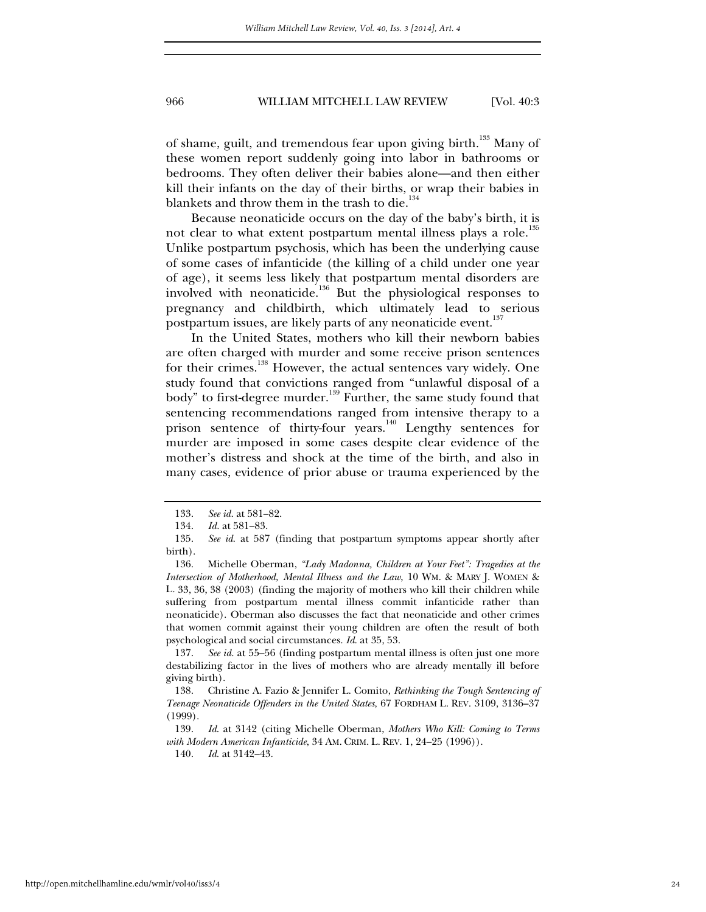of shame, guilt, and tremendous fear upon giving birth.<sup>133</sup> Many of these women report suddenly going into labor in bathrooms or bedrooms. They often deliver their babies alone—and then either kill their infants on the day of their births, or wrap their babies in blankets and throw them in the trash to die.<sup>134</sup>

Because neonaticide occurs on the day of the baby's birth, it is not clear to what extent postpartum mental illness plays a role.<sup>135</sup> Unlike postpartum psychosis, which has been the underlying cause of some cases of infanticide (the killing of a child under one year of age), it seems less likely that postpartum mental disorders are involved with neonaticide.<sup>136</sup> But the physiological responses to pregnancy and childbirth, which ultimately lead to serious postpartum issues, are likely parts of any neonaticide event.<sup>137</sup>

In the United States, mothers who kill their newborn babies are often charged with murder and some receive prison sentences for their crimes.<sup>138</sup> However, the actual sentences vary widely. One study found that convictions ranged from "unlawful disposal of a body" to first-degree murder.<sup>139</sup> Further, the same study found that sentencing recommendations ranged from intensive therapy to a prison sentence of thirty-four years.<sup>140</sup> Lengthy sentences for murder are imposed in some cases despite clear evidence of the mother's distress and shock at the time of the birth, and also in many cases, evidence of prior abuse or trauma experienced by the

 <sup>133.</sup> *See id.* at 581–82.

 <sup>134.</sup> *Id.* at 581–83.

 <sup>135.</sup> *See id*. at 587 (finding that postpartum symptoms appear shortly after birth).

 <sup>136.</sup> Michelle Oberman, *"Lady Madonna, Children at Your Feet": Tragedies at the Intersection of Motherhood, Mental Illness and the Law*, 10 WM. & MARY J. WOMEN & L. 33, 36, 38 (2003) (finding the majority of mothers who kill their children while suffering from postpartum mental illness commit infanticide rather than neonaticide). Oberman also discusses the fact that neonaticide and other crimes that women commit against their young children are often the result of both psychological and social circumstances. *Id*. at 35, 53.

 <sup>137.</sup> *See id.* at 55–56 (finding postpartum mental illness is often just one more destabilizing factor in the lives of mothers who are already mentally ill before giving birth).

 <sup>138.</sup> Christine A. Fazio & Jennifer L. Comito, *Rethinking the Tough Sentencing of Teenage Neonaticide Offenders in the United States*, 67 FORDHAM L. REV. 3109, 3136–37 (1999).

 <sup>139.</sup> *Id*. at 3142 (citing Michelle Oberman, *Mothers Who Kill: Coming to Terms with Modern American Infanticide*, 34 AM. CRIM. L. REV. 1, 24–25 (1996)).

 <sup>140.</sup> *Id*. at 3142–43.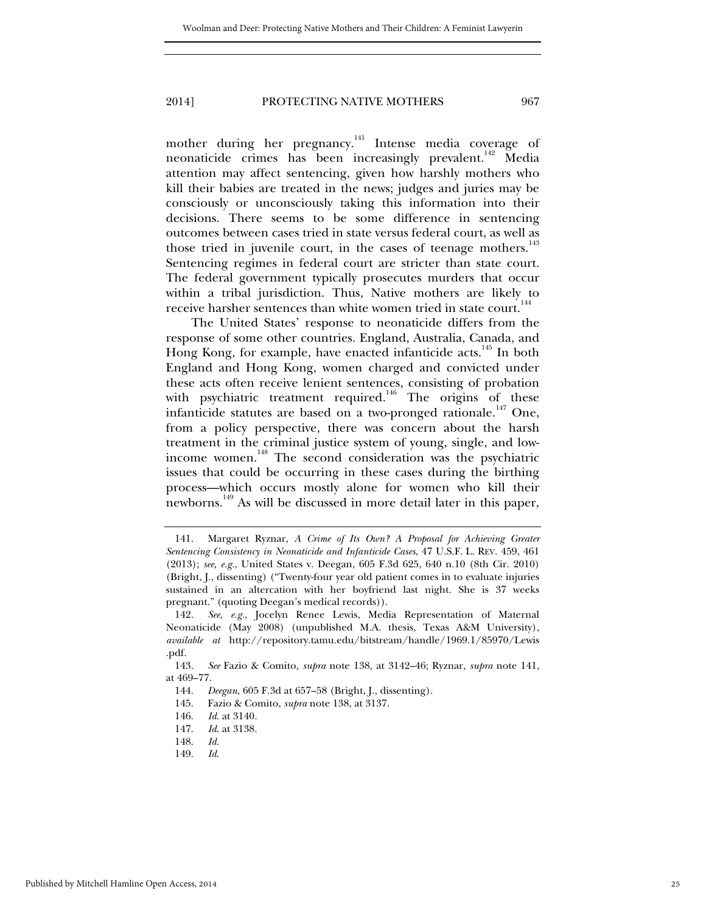mother during her pregnancy.<sup>141</sup> Intense media coverage of neonaticide crimes has been increasingly prevalent.<sup>142</sup> Media attention may affect sentencing, given how harshly mothers who kill their babies are treated in the news; judges and juries may be consciously or unconsciously taking this information into their decisions. There seems to be some difference in sentencing outcomes between cases tried in state versus federal court, as well as those tried in juvenile court, in the cases of teenage mothers.<sup>143</sup> Sentencing regimes in federal court are stricter than state court. The federal government typically prosecutes murders that occur within a tribal jurisdiction. Thus, Native mothers are likely to receive harsher sentences than white women tried in state court.<sup>144</sup>

The United States' response to neonaticide differs from the response of some other countries. England, Australia, Canada, and Hong Kong, for example, have enacted infanticide acts.<sup>145</sup> In both England and Hong Kong, women charged and convicted under these acts often receive lenient sentences, consisting of probation with psychiatric treatment required.<sup>146</sup> The origins of these infanticide statutes are based on a two-pronged rationale.<sup>147</sup> One, from a policy perspective, there was concern about the harsh treatment in the criminal justice system of young, single, and lowincome women.148 The second consideration was the psychiatric issues that could be occurring in these cases during the birthing process—which occurs mostly alone for women who kill their newborns.149 As will be discussed in more detail later in this paper,

 <sup>141.</sup> Margaret Ryznar, *A Crime of Its Own? A Proposal for Achieving Greater Sentencing Consistency in Neonaticide and Infanticide Cases*, 47 U.S.F. L. REV. 459, 461 (2013); *see, e.g.*, United States v. Deegan, 605 F.3d 625, 640 n.10 (8th Cir. 2010) (Bright, J., dissenting) ("Twenty-four year old patient comes in to evaluate injuries sustained in an altercation with her boyfriend last night. She is 37 weeks pregnant." (quoting Deegan's medical records)).

 <sup>142.</sup> *See, e.g.*, Jocelyn Renee Lewis, Media Representation of Maternal Neonaticide (May 2008) (unpublished M.A. thesis, Texas A&M University), *available at* http://repository.tamu.edu/bitstream/handle/1969.1/85970/Lewis .pdf.

 <sup>143.</sup> *See* Fazio & Comito, *supra* note 138, at 3142–46; Ryznar, *supra* note 141, at 469–77.

 <sup>144.</sup> *Deegan*, 605 F.3d at 657–58 (Bright, J., dissenting).

 <sup>145.</sup> Fazio & Comito, *supra* note 138, at 3137.

 <sup>146.</sup> *Id*. at 3140.

 <sup>147.</sup> *Id*. at 3138.

 <sup>148.</sup> *Id.*

 <sup>149.</sup> *Id*.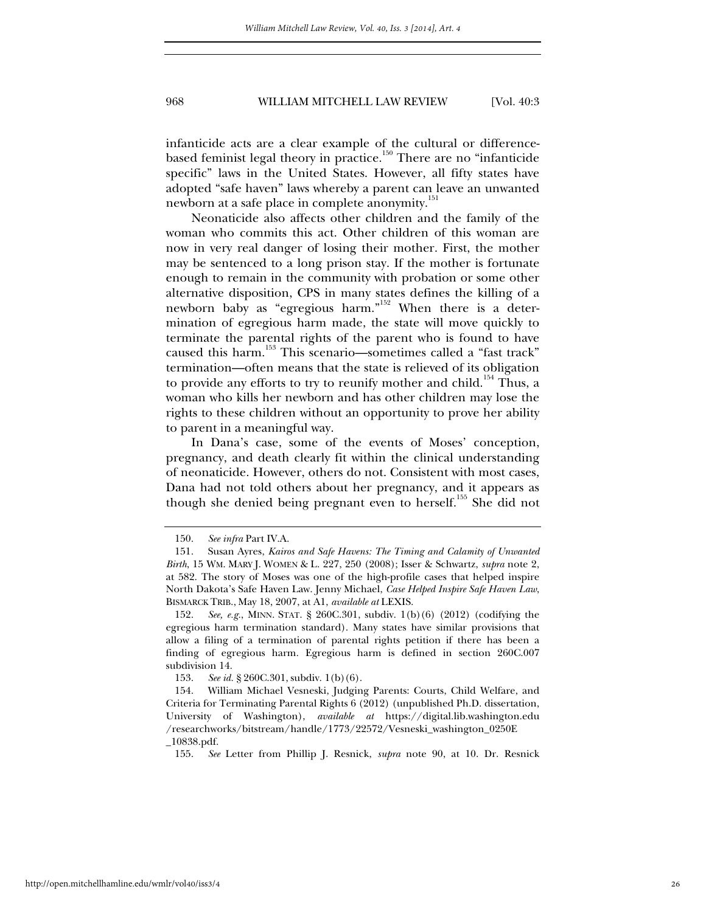infanticide acts are a clear example of the cultural or differencebased feminist legal theory in practice.<sup>150</sup> There are no "infanticide" specific" laws in the United States. However, all fifty states have adopted "safe haven" laws whereby a parent can leave an unwanted newborn at a safe place in complete anonymity.<sup>151</sup>

Neonaticide also affects other children and the family of the woman who commits this act. Other children of this woman are now in very real danger of losing their mother. First, the mother may be sentenced to a long prison stay. If the mother is fortunate enough to remain in the community with probation or some other alternative disposition, CPS in many states defines the killing of a newborn baby as "egregious harm."152 When there is a determination of egregious harm made, the state will move quickly to terminate the parental rights of the parent who is found to have caused this harm.153 This scenario—sometimes called a "fast track" termination—often means that the state is relieved of its obligation to provide any efforts to try to reunify mother and child.<sup>154</sup> Thus, a woman who kills her newborn and has other children may lose the rights to these children without an opportunity to prove her ability to parent in a meaningful way.

In Dana's case, some of the events of Moses' conception, pregnancy, and death clearly fit within the clinical understanding of neonaticide. However, others do not. Consistent with most cases, Dana had not told others about her pregnancy, and it appears as though she denied being pregnant even to herself.<sup>155</sup> She did not

 <sup>150.</sup> *See infra* Part IV.A.

 <sup>151.</sup> Susan Ayres, *Kairos and Safe Havens: The Timing and Calamity of Unwanted Birth*, 15 WM. MARY J. WOMEN & L. 227, 250 (2008); Isser & Schwartz, *supra* note 2, at 582. The story of Moses was one of the high-profile cases that helped inspire North Dakota's Safe Haven Law. Jenny Michael, *Case Helped Inspire Safe Haven Law*, BISMARCK TRIB., May 18, 2007, at A1, *available at* LEXIS.

 <sup>152.</sup> *See, e.g.*, MINN. STAT. § 260C.301, subdiv. 1(b)(6) (2012) (codifying the egregious harm termination standard). Many states have similar provisions that allow a filing of a termination of parental rights petition if there has been a finding of egregious harm. Egregious harm is defined in section 260C.007 subdivision 14.

 <sup>153.</sup> *See id.* § 260C.301, subdiv. 1(b)(6).

 <sup>154.</sup> William Michael Vesneski, Judging Parents: Courts, Child Welfare, and Criteria for Terminating Parental Rights 6 (2012) (unpublished Ph.D. dissertation, University of Washington), *available at* https://digital.lib.washington.edu /researchworks/bitstream/handle/1773/22572/Vesneski\_washington\_0250E \_10838.pdf.

 <sup>155.</sup> *See* Letter from Phillip J. Resnick, *supra* note 90, at 10. Dr. Resnick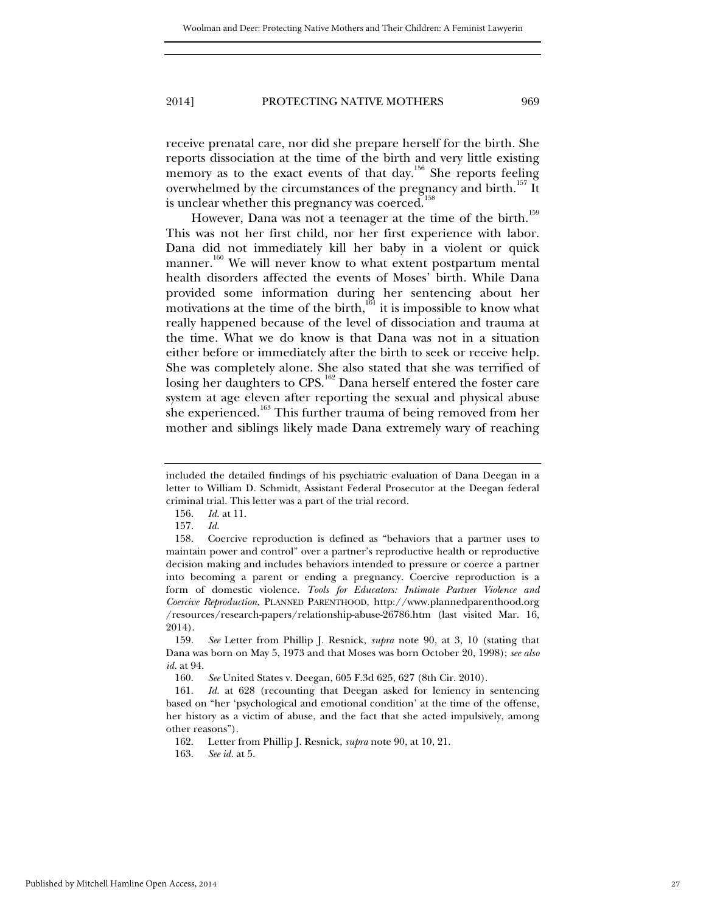receive prenatal care, nor did she prepare herself for the birth. She reports dissociation at the time of the birth and very little existing memory as to the exact events of that day.<sup>156</sup> She reports feeling overwhelmed by the circumstances of the pregnancy and birth.<sup>157</sup> It is unclear whether this pregnancy was coerced.<sup>158</sup>

However, Dana was not a teenager at the time of the birth.<sup>159</sup> This was not her first child, nor her first experience with labor. Dana did not immediately kill her baby in a violent or quick manner.<sup>160</sup> We will never know to what extent postpartum mental health disorders affected the events of Moses' birth. While Dana provided some information during her sentencing about her motivations at the time of the birth, $161$  it is impossible to know what really happened because of the level of dissociation and trauma at the time. What we do know is that Dana was not in a situation either before or immediately after the birth to seek or receive help. She was completely alone. She also stated that she was terrified of losing her daughters to CPS.<sup>162</sup> Dana herself entered the foster care system at age eleven after reporting the sexual and physical abuse she experienced.<sup>163</sup> This further trauma of being removed from her mother and siblings likely made Dana extremely wary of reaching

included the detailed findings of his psychiatric evaluation of Dana Deegan in a letter to William D. Schmidt, Assistant Federal Prosecutor at the Deegan federal criminal trial. This letter was a part of the trial record.

 <sup>156.</sup> *Id.* at 11.

 <sup>157.</sup> *Id.*

 <sup>158.</sup> Coercive reproduction is defined as "behaviors that a partner uses to maintain power and control" over a partner's reproductive health or reproductive decision making and includes behaviors intended to pressure or coerce a partner into becoming a parent or ending a pregnancy. Coercive reproduction is a form of domestic violence. *Tools for Educators: Intimate Partner Violence and Coercive Reproduction*, PLANNED PARENTHOOD, http://www.plannedparenthood.org /resources/research-papers/relationship-abuse-26786.htm (last visited Mar. 16, 2014).

 <sup>159.</sup> *See* Letter from Phillip J. Resnick, *supra* note 90, at 3, 10 (stating that Dana was born on May 5, 1973 and that Moses was born October 20, 1998); *see also id.* at 94.

 <sup>160.</sup> *See* United States v. Deegan, 605 F.3d 625, 627 (8th Cir. 2010).

 <sup>161.</sup> *Id.* at 628 (recounting that Deegan asked for leniency in sentencing based on "her 'psychological and emotional condition' at the time of the offense, her history as a victim of abuse, and the fact that she acted impulsively, among other reasons").

 <sup>162.</sup> Letter from Phillip J. Resnick, *supra* note 90, at 10, 21.

 <sup>163.</sup> *See id.* at 5.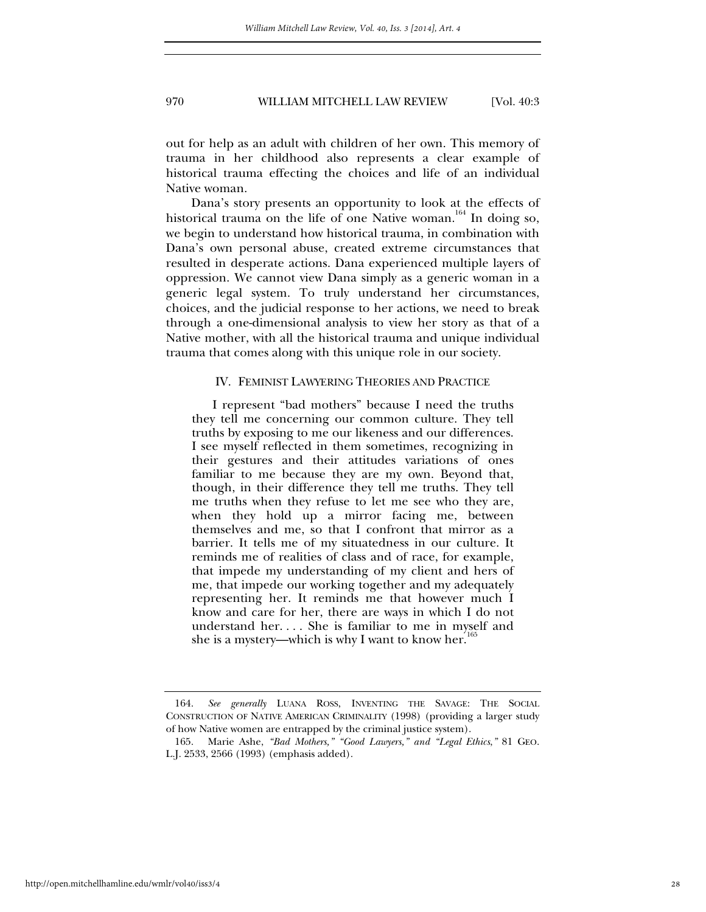out for help as an adult with children of her own. This memory of trauma in her childhood also represents a clear example of historical trauma effecting the choices and life of an individual Native woman.

Dana's story presents an opportunity to look at the effects of historical trauma on the life of one Native woman.<sup>164</sup> In doing so, we begin to understand how historical trauma, in combination with Dana's own personal abuse, created extreme circumstances that resulted in desperate actions. Dana experienced multiple layers of oppression. We cannot view Dana simply as a generic woman in a generic legal system. To truly understand her circumstances, choices, and the judicial response to her actions, we need to break through a one-dimensional analysis to view her story as that of a Native mother, with all the historical trauma and unique individual trauma that comes along with this unique role in our society.

#### IV. FEMINIST LAWYERING THEORIES AND PRACTICE

I represent "bad mothers" because I need the truths they tell me concerning our common culture. They tell truths by exposing to me our likeness and our differences. I see myself reflected in them sometimes, recognizing in their gestures and their attitudes variations of ones familiar to me because they are my own. Beyond that, though, in their difference they tell me truths. They tell me truths when they refuse to let me see who they are, when they hold up a mirror facing me, between themselves and me, so that I confront that mirror as a barrier. It tells me of my situatedness in our culture. It reminds me of realities of class and of race, for example, that impede my understanding of my client and hers of me, that impede our working together and my adequately representing her. It reminds me that however much I know and care for her, there are ways in which I do not understand her. . . . She is familiar to me in myself and she is a mystery—which is why I want to know her.<sup>1</sup>

 <sup>164.</sup> *See generally* LUANA ROSS, INVENTING THE SAVAGE: THE SOCIAL CONSTRUCTION OF NATIVE AMERICAN CRIMINALITY (1998) (providing a larger study of how Native women are entrapped by the criminal justice system).

 <sup>165.</sup> Marie Ashe, *"Bad Mothers," "Good Lawyers," and "Legal Ethics*,*"* 81 GEO. L.J. 2533, 2566 (1993) (emphasis added).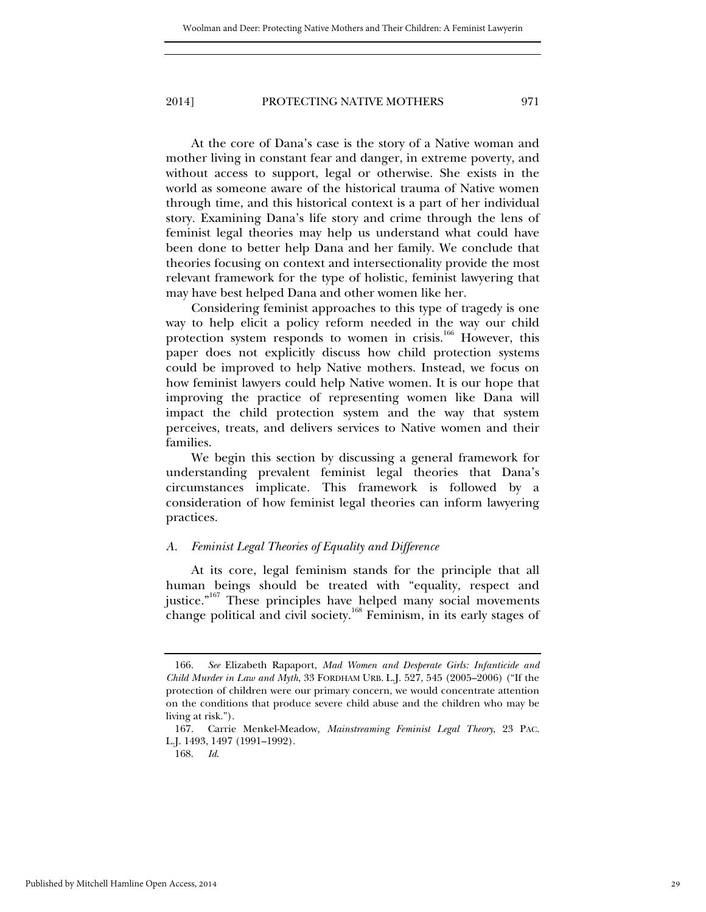At the core of Dana's case is the story of a Native woman and mother living in constant fear and danger, in extreme poverty, and without access to support, legal or otherwise. She exists in the world as someone aware of the historical trauma of Native women through time, and this historical context is a part of her individual story. Examining Dana's life story and crime through the lens of feminist legal theories may help us understand what could have been done to better help Dana and her family. We conclude that theories focusing on context and intersectionality provide the most relevant framework for the type of holistic, feminist lawyering that may have best helped Dana and other women like her.

Considering feminist approaches to this type of tragedy is one way to help elicit a policy reform needed in the way our child protection system responds to women in crisis.<sup>166</sup> However, this paper does not explicitly discuss how child protection systems could be improved to help Native mothers. Instead, we focus on how feminist lawyers could help Native women. It is our hope that improving the practice of representing women like Dana will impact the child protection system and the way that system perceives, treats, and delivers services to Native women and their families.

We begin this section by discussing a general framework for understanding prevalent feminist legal theories that Dana's circumstances implicate. This framework is followed by a consideration of how feminist legal theories can inform lawyering practices.

#### *A. Feminist Legal Theories of Equality and Difference*

At its core, legal feminism stands for the principle that all human beings should be treated with "equality, respect and justice."<sup>167</sup> These principles have helped many social movements change political and civil society.<sup>168</sup> Feminism, in its early stages of

 <sup>166.</sup> *See* Elizabeth Rapaport, *Mad Women and Desperate Girls: Infanticide and Child Murder in Law and Myth*, 33 FORDHAM URB. L.J. 527, 545 (2005–2006) ("If the protection of children were our primary concern, we would concentrate attention on the conditions that produce severe child abuse and the children who may be living at risk.").

 <sup>167.</sup> Carrie Menkel-Meadow, *Mainstreaming Feminist Legal Theory*, 23 PAC. L.J. 1493, 1497 (1991–1992).

 <sup>168.</sup> *Id*.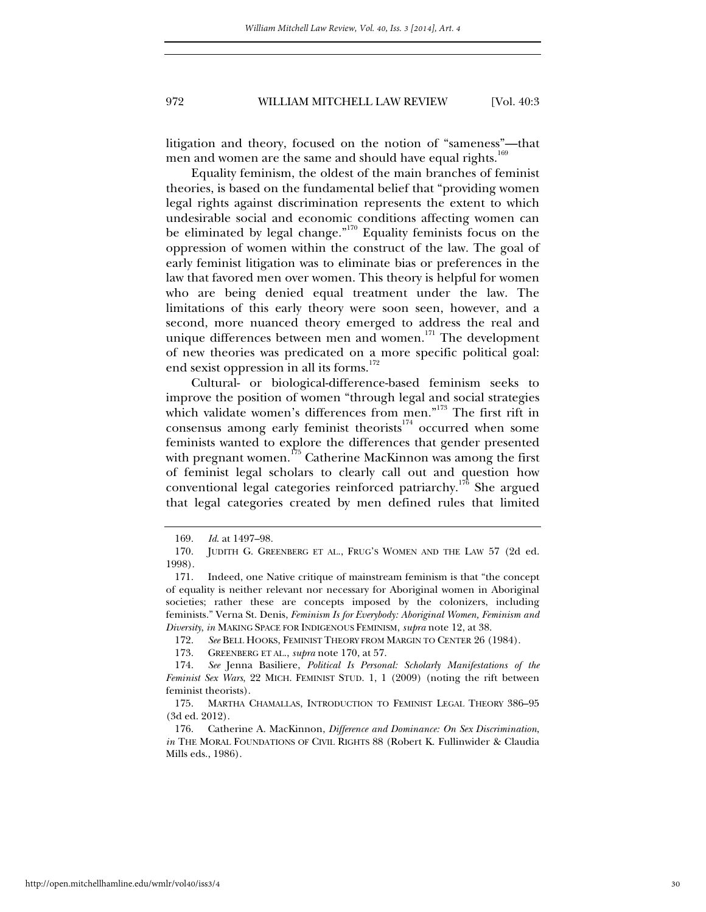litigation and theory, focused on the notion of "sameness"—that men and women are the same and should have equal rights.<sup>169</sup>

Equality feminism, the oldest of the main branches of feminist theories, is based on the fundamental belief that "providing women legal rights against discrimination represents the extent to which undesirable social and economic conditions affecting women can be eliminated by legal change."<sup>170</sup> Equality feminists focus on the oppression of women within the construct of the law. The goal of early feminist litigation was to eliminate bias or preferences in the law that favored men over women. This theory is helpful for women who are being denied equal treatment under the law. The limitations of this early theory were soon seen, however, and a second, more nuanced theory emerged to address the real and unique differences between men and women.<sup>171</sup> The development of new theories was predicated on a more specific political goal: end sexist oppression in all its forms.<sup>172</sup>

Cultural- or biological-difference-based feminism seeks to improve the position of women "through legal and social strategies which validate women's differences from men."<sup>173</sup> The first rift in consensus among early feminist theorists<sup>174</sup> occurred when some feminists wanted to explore the differences that gender presented with pregnant women.<sup>175</sup> Catherine MacKinnon was among the first of feminist legal scholars to clearly call out and question how conventional legal categories reinforced patriarchy.176 She argued that legal categories created by men defined rules that limited

 <sup>169.</sup> *Id*. at 1497–98.

 <sup>170.</sup> JUDITH G. GREENBERG ET AL., FRUG'S WOMEN AND THE LAW 57 (2d ed. 1998).

 <sup>171.</sup> Indeed, one Native critique of mainstream feminism is that "the concept of equality is neither relevant nor necessary for Aboriginal women in Aboriginal societies; rather these are concepts imposed by the colonizers, including feminists." Verna St. Denis, *Feminism Is for Everybody: Aboriginal Women, Feminism and Diversity*, *in* MAKING SPACE FOR INDIGENOUS FEMINISM, *supra* note 12, at 38.

 <sup>172.</sup> *See* BELL HOOKS, FEMINIST THEORY FROM MARGIN TO CENTER 26 (1984).

 <sup>173.</sup> GREENBERG ET AL., *supra* note 170, at 57.

 <sup>174.</sup> *See* Jenna Basiliere, *Political Is Personal: Scholarly Manifestations of the Feminist Sex Wars*, 22 MICH. FEMINIST STUD. 1, 1 (2009) (noting the rift between feminist theorists).

 <sup>175.</sup> MARTHA CHAMALLAS, INTRODUCTION TO FEMINIST LEGAL THEORY 386–95 (3d ed. 2012).

 <sup>176.</sup> Catherine A. MacKinnon, *Difference and Dominance: On Sex Discrimination*, *in* THE MORAL FOUNDATIONS OF CIVIL RIGHTS 88 (Robert K. Fullinwider & Claudia Mills eds., 1986).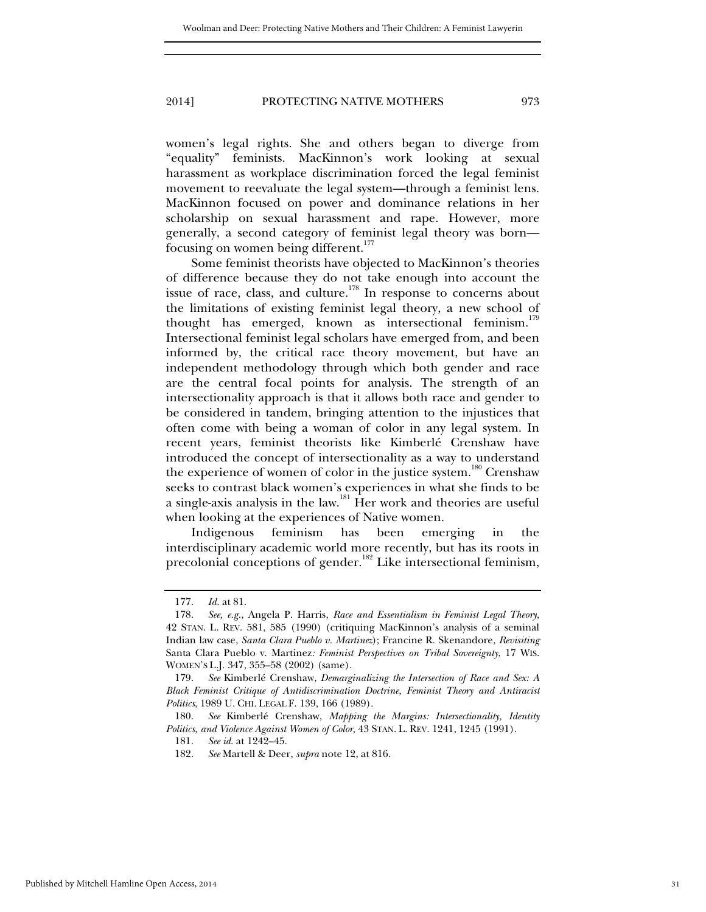women's legal rights. She and others began to diverge from "equality" feminists. MacKinnon's work looking at sexual harassment as workplace discrimination forced the legal feminist movement to reevaluate the legal system—through a feminist lens. MacKinnon focused on power and dominance relations in her scholarship on sexual harassment and rape. However, more generally, a second category of feminist legal theory was born focusing on women being different.<sup>177</sup>

Some feminist theorists have objected to MacKinnon's theories of difference because they do not take enough into account the issue of race, class, and culture.<sup>178</sup> In response to concerns about the limitations of existing feminist legal theory, a new school of thought has emerged, known as intersectional feminism.<sup>179</sup> Intersectional feminist legal scholars have emerged from, and been informed by, the critical race theory movement, but have an independent methodology through which both gender and race are the central focal points for analysis. The strength of an intersectionality approach is that it allows both race and gender to be considered in tandem, bringing attention to the injustices that often come with being a woman of color in any legal system. In recent years, feminist theorists like Kimberlé Crenshaw have introduced the concept of intersectionality as a way to understand the experience of women of color in the justice system.<sup>180</sup> Crenshaw seeks to contrast black women's experiences in what she finds to be a single-axis analysis in the law.181 Her work and theories are useful when looking at the experiences of Native women.

Indigenous feminism has been emerging in the interdisciplinary academic world more recently, but has its roots in precolonial conceptions of gender.<sup>182</sup> Like intersectional feminism,

 <sup>177.</sup> *Id.* at 81.

 <sup>178.</sup> *See, e.g.*, Angela P. Harris, *Race and Essentialism in Feminist Legal Theory*, 42 STAN. L. REV. 581, 585 (1990) (critiquing MacKinnon's analysis of a seminal Indian law case, *Santa Clara Pueblo v. Martinez*); Francine R. Skenandore, *Revisiting*  Santa Clara Pueblo v. Martinez*: Feminist Perspectives on Tribal Sovereignty*, 17 WIS. WOMEN'S L.J. 347, 355–58 (2002) (same).

 <sup>179.</sup> *See* Kimberlé Crenshaw, *Demarginalizing the Intersection of Race and Sex: A Black Feminist Critique of Antidiscrimination Doctrine, Feminist Theory and Antiracist Politics*, 1989 U. CHI. LEGAL F. 139, 166 (1989).

 <sup>180.</sup> *See* Kimberlé Crenshaw, *Mapping the Margins: Intersectionality, Identity Politics, and Violence Against Women of Color*, 43 STAN. L. REV. 1241, 1245 (1991).

 <sup>181.</sup> *See id*. at 1242–45.

 <sup>182.</sup> *See* Martell & Deer, *supra* note 12, at 816.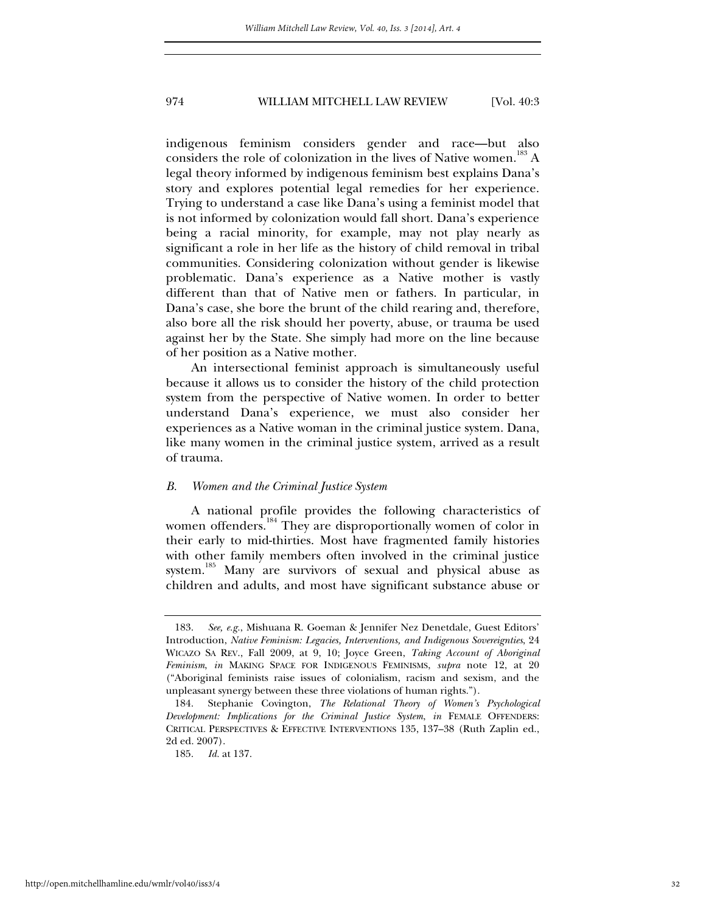indigenous feminism considers gender and race—but also considers the role of colonization in the lives of Native women.<sup>183</sup> A legal theory informed by indigenous feminism best explains Dana's story and explores potential legal remedies for her experience. Trying to understand a case like Dana's using a feminist model that is not informed by colonization would fall short. Dana's experience being a racial minority, for example, may not play nearly as significant a role in her life as the history of child removal in tribal communities. Considering colonization without gender is likewise problematic. Dana's experience as a Native mother is vastly different than that of Native men or fathers. In particular, in Dana's case, she bore the brunt of the child rearing and, therefore, also bore all the risk should her poverty, abuse, or trauma be used against her by the State. She simply had more on the line because of her position as a Native mother.

An intersectional feminist approach is simultaneously useful because it allows us to consider the history of the child protection system from the perspective of Native women. In order to better understand Dana's experience, we must also consider her experiences as a Native woman in the criminal justice system. Dana, like many women in the criminal justice system, arrived as a result of trauma.

#### *B. Women and the Criminal Justice System*

A national profile provides the following characteristics of women offenders.<sup>184</sup> They are disproportionally women of color in their early to mid-thirties. Most have fragmented family histories with other family members often involved in the criminal justice system.<sup>185</sup> Many are survivors of sexual and physical abuse as children and adults, and most have significant substance abuse or

 <sup>183.</sup> *See, e.g.*, Mishuana R. Goeman & Jennifer Nez Denetdale, Guest Editors' Introduction, *Native Feminism: Legacies, Interventions, and Indigenous Sovereignties*, 24 WICAZO SA REV., Fall 2009, at 9, 10; Joyce Green, *Taking Account of Aboriginal Feminism*, *in* MAKING SPACE FOR INDIGENOUS FEMINISMS, *supra* note 12, at 20 ("Aboriginal feminists raise issues of colonialism, racism and sexism, and the unpleasant synergy between these three violations of human rights.").

 <sup>184.</sup> Stephanie Covington, *The Relational Theory of Women's Psychological Development: Implications for the Criminal Justice System*, *in* FEMALE OFFENDERS: CRITICAL PERSPECTIVES & EFFECTIVE INTERVENTIONS 135, 137–38 (Ruth Zaplin ed., 2d ed. 2007).

 <sup>185.</sup> *Id.* at 137.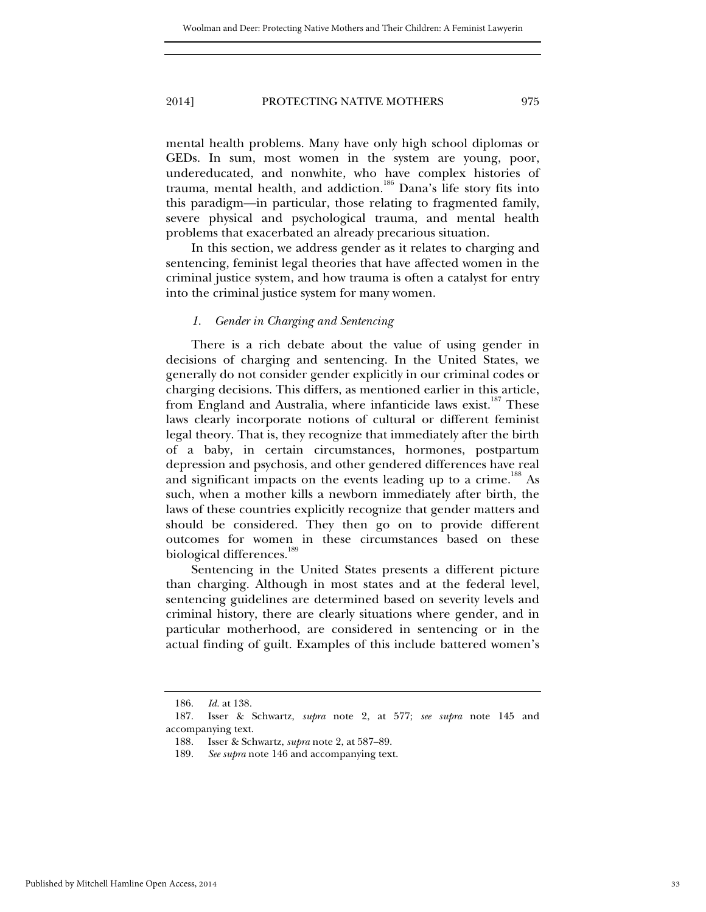mental health problems. Many have only high school diplomas or GEDs. In sum, most women in the system are young, poor, undereducated, and nonwhite, who have complex histories of trauma, mental health, and addiction.<sup>186</sup> Dana's life story fits into this paradigm—in particular, those relating to fragmented family, severe physical and psychological trauma, and mental health problems that exacerbated an already precarious situation.

In this section, we address gender as it relates to charging and sentencing, feminist legal theories that have affected women in the criminal justice system, and how trauma is often a catalyst for entry into the criminal justice system for many women.

#### *1. Gender in Charging and Sentencing*

There is a rich debate about the value of using gender in decisions of charging and sentencing. In the United States, we generally do not consider gender explicitly in our criminal codes or charging decisions. This differs, as mentioned earlier in this article, from England and Australia, where infanticide laws exist.<sup>187</sup> These laws clearly incorporate notions of cultural or different feminist legal theory. That is, they recognize that immediately after the birth of a baby, in certain circumstances, hormones, postpartum depression and psychosis, and other gendered differences have real and significant impacts on the events leading up to a crime.<sup>188</sup> As such, when a mother kills a newborn immediately after birth, the laws of these countries explicitly recognize that gender matters and should be considered. They then go on to provide different outcomes for women in these circumstances based on these biological differences.<sup>189</sup>

Sentencing in the United States presents a different picture than charging. Although in most states and at the federal level, sentencing guidelines are determined based on severity levels and criminal history, there are clearly situations where gender, and in particular motherhood, are considered in sentencing or in the actual finding of guilt. Examples of this include battered women's

 <sup>186.</sup> *Id.* at 138.

 <sup>187.</sup> Isser & Schwartz, *supra* note 2, at 577; *see supra* note 145 and accompanying text.

 <sup>188.</sup> Isser & Schwartz, *supra* note 2, at 587–89.

 <sup>189.</sup> *See supra* note 146 and accompanying text.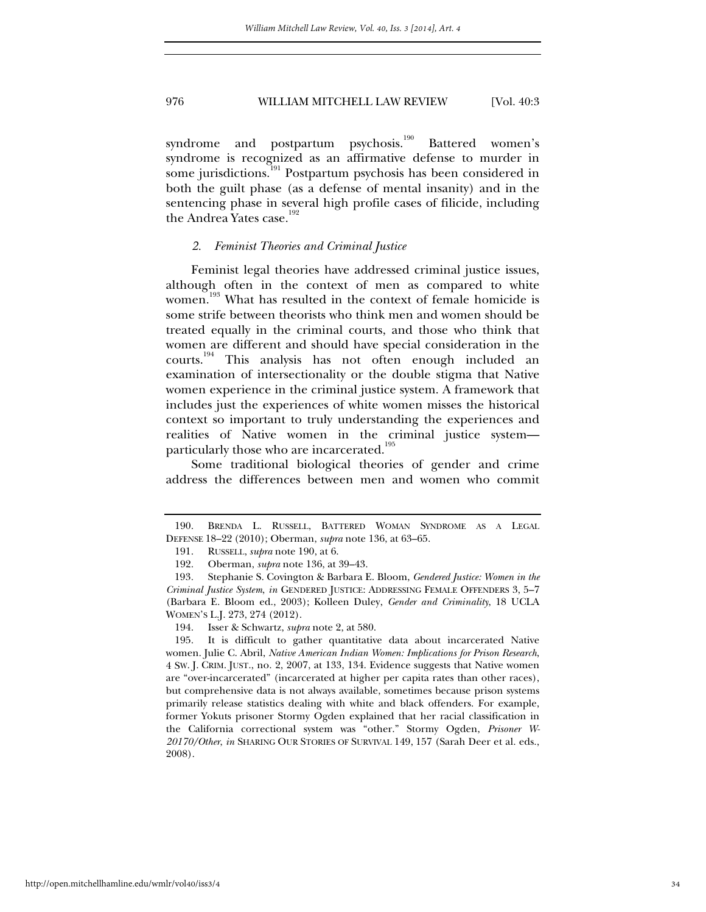syndrome and postpartum psychosis.<sup>190</sup> Battered women's syndrome is recognized as an affirmative defense to murder in some jurisdictions.<sup>191</sup> Postpartum psychosis has been considered in both the guilt phase (as a defense of mental insanity) and in the sentencing phase in several high profile cases of filicide, including the Andrea Yates case.<sup>192</sup>

#### *2. Feminist Theories and Criminal Justice*

Feminist legal theories have addressed criminal justice issues, although often in the context of men as compared to white women.<sup>193</sup> What has resulted in the context of female homicide is some strife between theorists who think men and women should be treated equally in the criminal courts, and those who think that women are different and should have special consideration in the courts.194 This analysis has not often enough included an examination of intersectionality or the double stigma that Native women experience in the criminal justice system. A framework that includes just the experiences of white women misses the historical context so important to truly understanding the experiences and realities of Native women in the criminal justice system particularly those who are incarcerated.<sup>195</sup>

Some traditional biological theories of gender and crime address the differences between men and women who commit

 <sup>190.</sup> BRENDA L. RUSSELL, BATTERED WOMAN SYNDROME AS A LEGAL DEFENSE 18–22 (2010); Oberman, *supra* note 136, at 63–65.

 <sup>191.</sup> RUSSELL, *supra* note 190, at 6.

 <sup>192.</sup> Oberman, *supra* note 136, at 39–43.

<sup>193</sup>*.* Stephanie S. Covington & Barbara E. Bloom, *Gendered Justice: Women in the Criminal Justice System*, *in* GENDERED JUSTICE: ADDRESSING FEMALE OFFENDERS 3, 5–7 (Barbara E. Bloom ed., 2003); Kolleen Duley, *Gender and Criminality*, 18 UCLA WOMEN'S L.J. 273, 274 (2012).

 <sup>194.</sup> Isser & Schwartz, *supra* note 2, at 580.

 <sup>195.</sup> It is difficult to gather quantitative data about incarcerated Native women. Julie C. Abril, *Native American Indian Women: Implications for Prison Research*, 4 SW. J. CRIM. JUST., no. 2, 2007, at 133, 134. Evidence suggests that Native women are "over-incarcerated" (incarcerated at higher per capita rates than other races), but comprehensive data is not always available, sometimes because prison systems primarily release statistics dealing with white and black offenders. For example, former Yokuts prisoner Stormy Ogden explained that her racial classification in the California correctional system was "other." Stormy Ogden, *Prisoner W-20170/Other*, *in* SHARING OUR STORIES OF SURVIVAL 149, 157 (Sarah Deer et al. eds., 2008).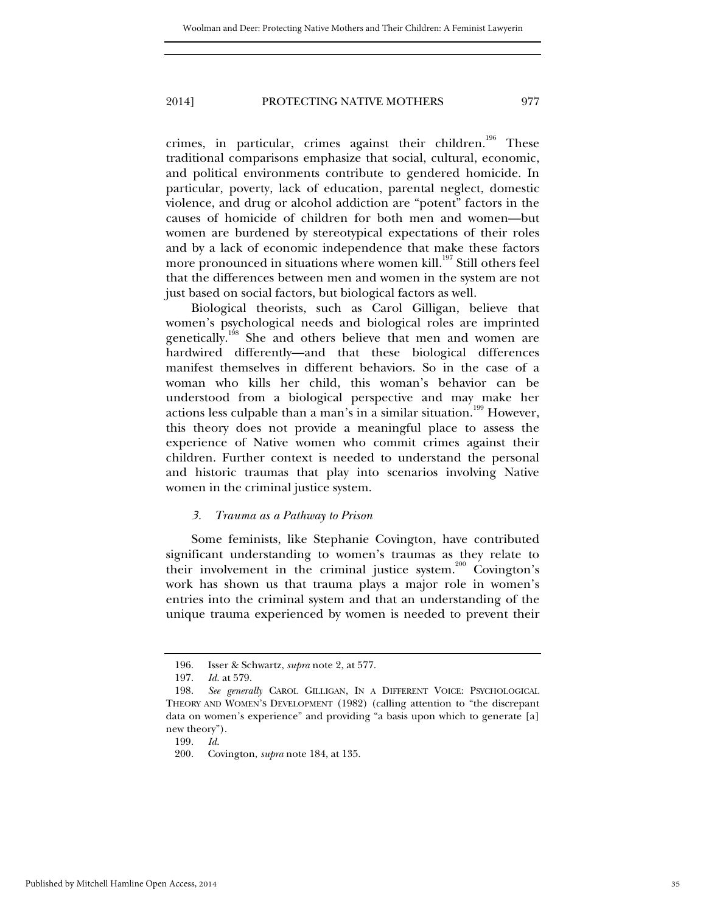crimes, in particular, crimes against their children.<sup>196</sup> These traditional comparisons emphasize that social, cultural, economic, and political environments contribute to gendered homicide. In particular, poverty, lack of education, parental neglect, domestic violence, and drug or alcohol addiction are "potent" factors in the causes of homicide of children for both men and women—but women are burdened by stereotypical expectations of their roles and by a lack of economic independence that make these factors more pronounced in situations where women kill.<sup>197</sup> Still others feel that the differences between men and women in the system are not just based on social factors, but biological factors as well.

Biological theorists, such as Carol Gilligan, believe that women's psychological needs and biological roles are imprinted genetically.<sup>198</sup> She and others believe that men and women are hardwired differently—and that these biological differences manifest themselves in different behaviors. So in the case of a woman who kills her child, this woman's behavior can be understood from a biological perspective and may make her actions less culpable than a man's in a similar situation.<sup>199</sup> However, this theory does not provide a meaningful place to assess the experience of Native women who commit crimes against their children. Further context is needed to understand the personal and historic traumas that play into scenarios involving Native women in the criminal justice system.

## *3. Trauma as a Pathway to Prison*

Some feminists, like Stephanie Covington, have contributed significant understanding to women's traumas as they relate to their involvement in the criminal justice system.<sup>200</sup> Covington's work has shown us that trauma plays a major role in women's entries into the criminal system and that an understanding of the unique trauma experienced by women is needed to prevent their

 <sup>196.</sup> Isser & Schwartz, *supra* note 2, at 577.

 <sup>197.</sup> *Id.* at 579.

 <sup>198.</sup> *See generally* CAROL GILLIGAN, IN A DIFFERENT VOICE: PSYCHOLOGICAL THEORY AND WOMEN'S DEVELOPMENT (1982) (calling attention to "the discrepant data on women's experience" and providing "a basis upon which to generate [a] new theory").

 <sup>199.</sup> *Id.*

 <sup>200.</sup> Covington, *supra* note 184, at 135.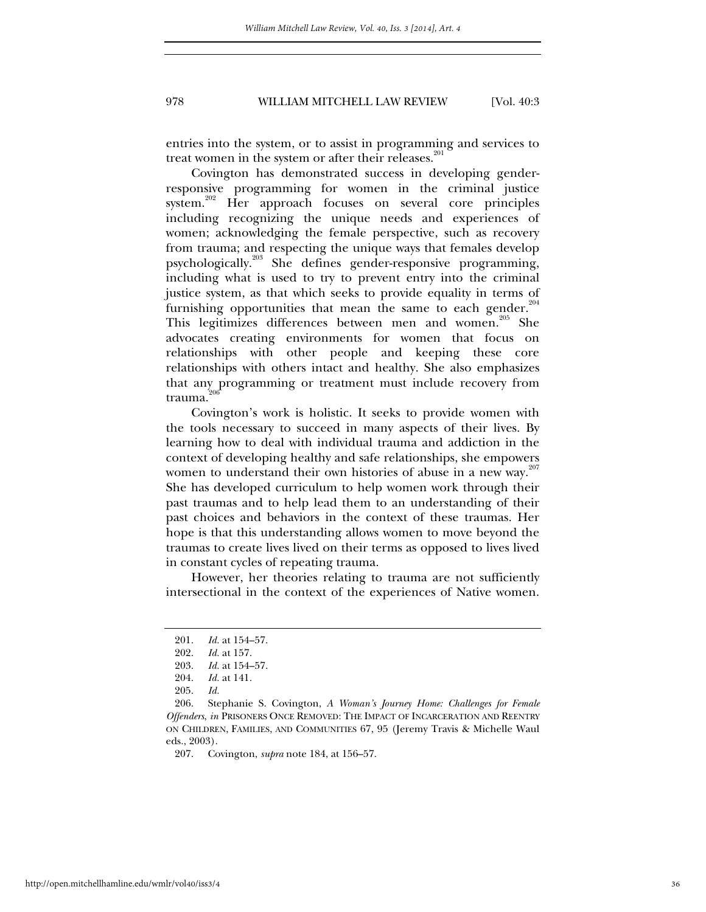entries into the system, or to assist in programming and services to treat women in the system or after their releases.<sup>201</sup>

Covington has demonstrated success in developing genderresponsive programming for women in the criminal justice system.<sup>202</sup> Her approach focuses on several core principles including recognizing the unique needs and experiences of women; acknowledging the female perspective, such as recovery from trauma; and respecting the unique ways that females develop psychologically.203 She defines gender-responsive programming, including what is used to try to prevent entry into the criminal justice system, as that which seeks to provide equality in terms of furnishing opportunities that mean the same to each gender. $204$ This legitimizes differences between men and women.<sup>205</sup> She advocates creating environments for women that focus on relationships with other people and keeping these core relationships with others intact and healthy. She also emphasizes that any programming or treatment must include recovery from trauma.<sup>2</sup>

Covington's work is holistic. It seeks to provide women with the tools necessary to succeed in many aspects of their lives. By learning how to deal with individual trauma and addiction in the context of developing healthy and safe relationships, she empowers women to understand their own histories of abuse in a new way. $207$ She has developed curriculum to help women work through their past traumas and to help lead them to an understanding of their past choices and behaviors in the context of these traumas. Her hope is that this understanding allows women to move beyond the traumas to create lives lived on their terms as opposed to lives lived in constant cycles of repeating trauma.

However, her theories relating to trauma are not sufficiently intersectional in the context of the experiences of Native women.

 <sup>201.</sup> *Id.* at 154–57.

 <sup>202.</sup> *Id.* at 157.

 <sup>203.</sup> *Id.* at 154–57.

 <sup>204.</sup> *Id.* at 141.

 <sup>205.</sup> *Id.* 

 <sup>206.</sup> Stephanie S. Covington, *A Woman's Journey Home: Challenges for Female Offenders*, *in* PRISONERS ONCE REMOVED: THE IMPACT OF INCARCERATION AND REENTRY ON CHILDREN, FAMILIES, AND COMMUNITIES 67, 95 (Jeremy Travis & Michelle Waul eds., 2003).

 <sup>207.</sup> Covington, *supra* note 184, at 156–57.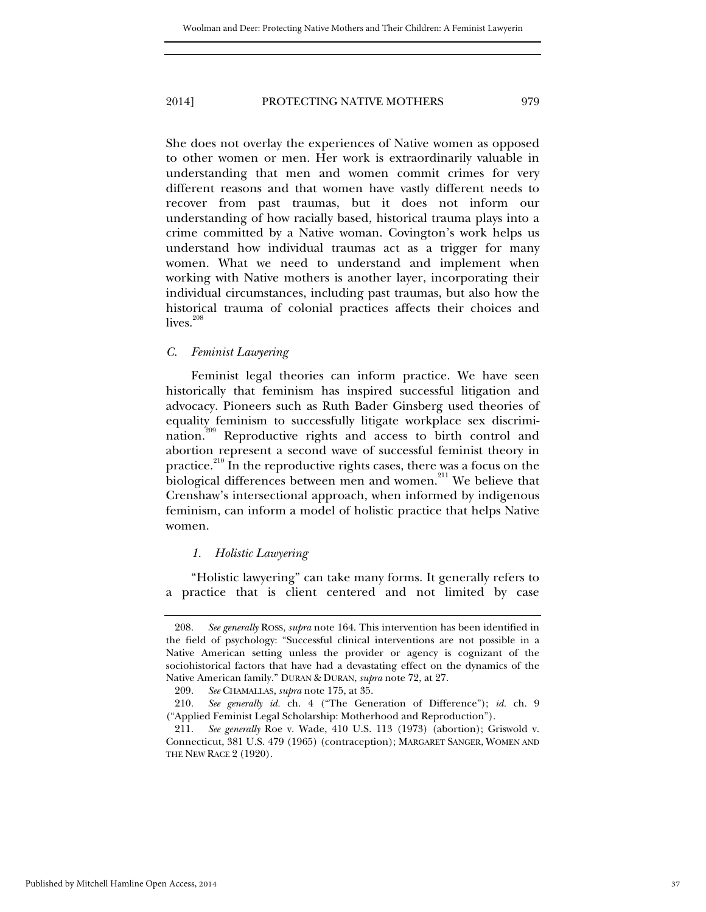She does not overlay the experiences of Native women as opposed to other women or men. Her work is extraordinarily valuable in understanding that men and women commit crimes for very different reasons and that women have vastly different needs to recover from past traumas, but it does not inform our understanding of how racially based, historical trauma plays into a crime committed by a Native woman. Covington's work helps us understand how individual traumas act as a trigger for many women. What we need to understand and implement when working with Native mothers is another layer, incorporating their individual circumstances, including past traumas, but also how the historical trauma of colonial practices affects their choices and lives. $208$ 

## *C. Feminist Lawyering*

Feminist legal theories can inform practice. We have seen historically that feminism has inspired successful litigation and advocacy. Pioneers such as Ruth Bader Ginsberg used theories of equality feminism to successfully litigate workplace sex discrimination.<sup>209</sup> Reproductive rights and access to birth control and abortion represent a second wave of successful feminist theory in practice.<sup>210</sup> In the reproductive rights cases, there was a focus on the biological differences between men and women.<sup>211</sup> We believe that Crenshaw's intersectional approach, when informed by indigenous feminism, can inform a model of holistic practice that helps Native women.

#### *1. Holistic Lawyering*

"Holistic lawyering" can take many forms. It generally refers to a practice that is client centered and not limited by case

 <sup>208.</sup> *See generally* ROSS, *supra* note 164. This intervention has been identified in the field of psychology: "Successful clinical interventions are not possible in a Native American setting unless the provider or agency is cognizant of the sociohistorical factors that have had a devastating effect on the dynamics of the Native American family." DURAN & DURAN, *supra* note 72, at 27.

 <sup>209.</sup> *See* CHAMALLAS, *supra* note 175, at 35.

 <sup>210.</sup> *See generally id.* ch. 4 ("The Generation of Difference"); *id.* ch. 9 ("Applied Feminist Legal Scholarship: Motherhood and Reproduction").

 <sup>211.</sup> *See generally* Roe v. Wade, 410 U.S. 113 (1973) (abortion); Griswold v. Connecticut, 381 U.S. 479 (1965) (contraception); MARGARET SANGER, WOMEN AND THE NEW RACE 2 (1920).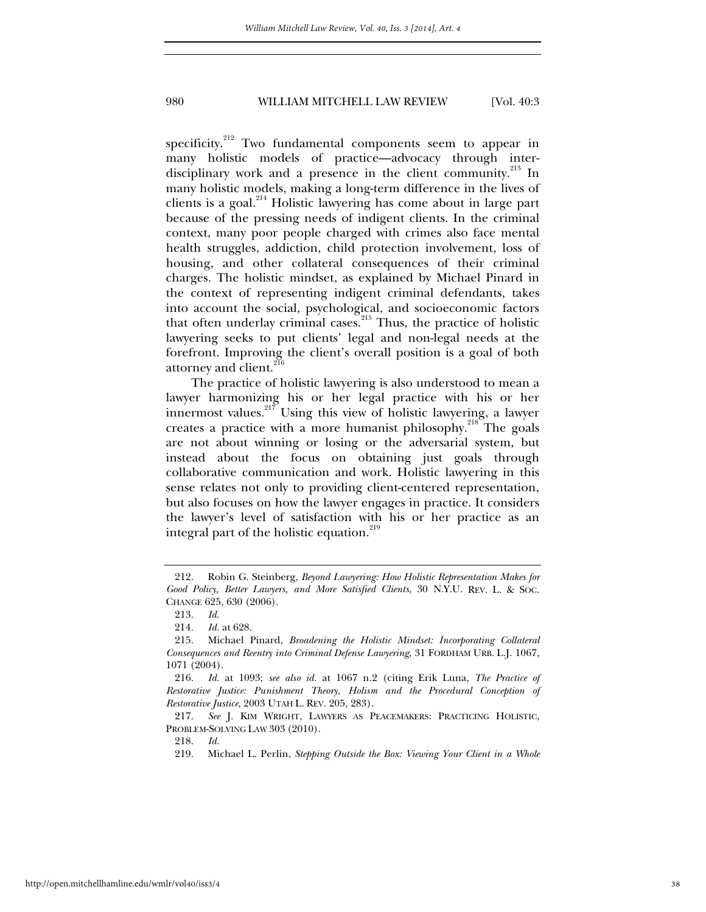specificity.<sup>212</sup> Two fundamental components seem to appear in many holistic models of practice—advocacy through interdisciplinary work and a presence in the client community.<sup>213</sup> In many holistic models, making a long-term difference in the lives of clients is a goal. $^{214}$  Holistic lawyering has come about in large part because of the pressing needs of indigent clients. In the criminal context, many poor people charged with crimes also face mental health struggles, addiction, child protection involvement, loss of housing, and other collateral consequences of their criminal charges. The holistic mindset, as explained by Michael Pinard in the context of representing indigent criminal defendants, takes into account the social, psychological, and socioeconomic factors that often underlay criminal cases.<sup>215</sup> Thus, the practice of holistic lawyering seeks to put clients' legal and non-legal needs at the forefront. Improving the client's overall position is a goal of both attorney and client.<sup>216</sup>

The practice of holistic lawyering is also understood to mean a lawyer harmonizing his or her legal practice with his or her innermost values. $2^{17}$  Using this view of holistic lawyering, a lawyer creates a practice with a more humanist philosophy.<sup>218</sup> The goals are not about winning or losing or the adversarial system, but instead about the focus on obtaining just goals through collaborative communication and work. Holistic lawyering in this sense relates not only to providing client-centered representation, but also focuses on how the lawyer engages in practice. It considers the lawyer's level of satisfaction with his or her practice as an integral part of the holistic equation.<sup>219</sup>

218. *Id.* 

 <sup>212.</sup> Robin G. Steinberg, *Beyond Lawyering: How Holistic Representation Makes for Good Policy, Better Lawyers, and More Satisfied Clients*, 30 N.Y.U. REV. L. & SOC. CHANGE 625, 630 (2006).

 <sup>213.</sup> *Id.* 

<sup>214</sup>*. Id.* at 628.

 <sup>215.</sup> Michael Pinard, *Broadening the Holistic Mindset: Incorporating Collateral Consequences and Reentry into Criminal Defense Lawyering*, 31 FORDHAM URB. L.J. 1067, 1071 (2004).

 <sup>216.</sup> *Id.* at 1093; *see also id.* at 1067 n.2 (citing Erik Luna, *The Practice of Restorative Justice: Punishment Theory, Holism and the Procedural Conception of Restorative Justice*, 2003 UTAH L. REV. 205, 283).

 <sup>217.</sup> *See* J. KIM WRIGHT, LAWYERS AS PEACEMAKERS: PRACTICING HOLISTIC, PROBLEM-SOLVING LAW 303 (2010).

 <sup>219.</sup> Michael L. Perlin, *Stepping Outside the Box: Viewing Your Client in a Whole*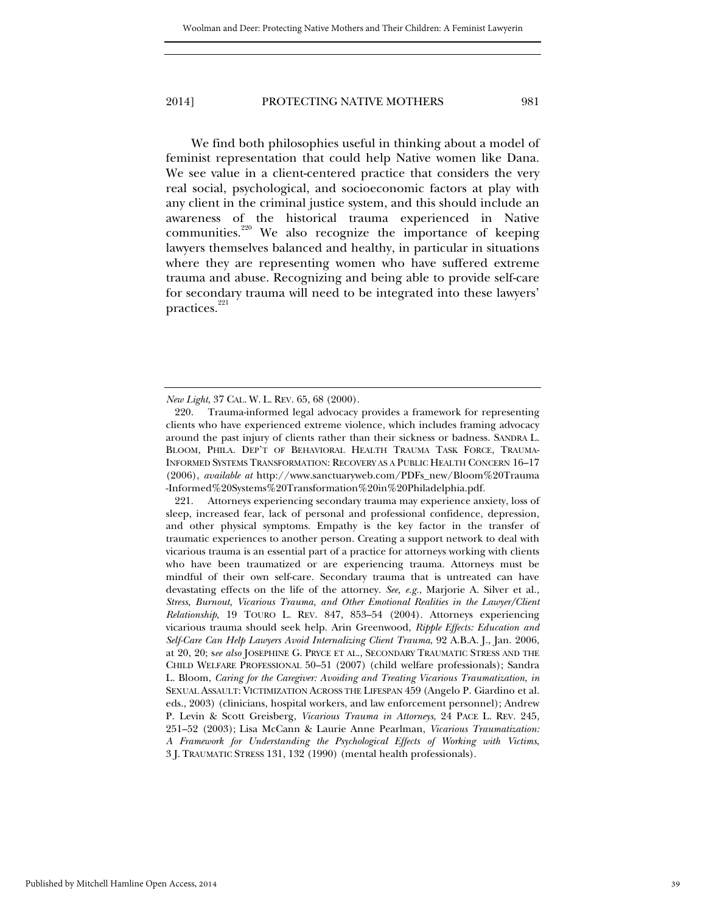We find both philosophies useful in thinking about a model of feminist representation that could help Native women like Dana. We see value in a client-centered practice that considers the very real social, psychological, and socioeconomic factors at play with any client in the criminal justice system, and this should include an awareness of the historical trauma experienced in Native communities.<sup>220</sup> We also recognize the importance of keeping lawyers themselves balanced and healthy, in particular in situations where they are representing women who have suffered extreme trauma and abuse. Recognizing and being able to provide self-care for secondary trauma will need to be integrated into these lawyers' practices.<sup>221</sup>

*New Light*, 37 CAL. W. L. REV. 65, 68 (2000).

 <sup>220.</sup> Trauma-informed legal advocacy provides a framework for representing clients who have experienced extreme violence, which includes framing advocacy around the past injury of clients rather than their sickness or badness. SANDRA L. BLOOM, PHILA. DEP'T OF BEHAVIORAL HEALTH TRAUMA TASK FORCE, TRAUMA-INFORMED SYSTEMS TRANSFORMATION: RECOVERY AS A PUBLIC HEALTH CONCERN 16–17 (2006), *available at* http://www.sanctuaryweb.com/PDFs\_new/Bloom%20Trauma -Informed%20Systems%20Transformation%20in%20Philadelphia.pdf.

 <sup>221.</sup> Attorneys experiencing secondary trauma may experience anxiety, loss of sleep, increased fear, lack of personal and professional confidence, depression, and other physical symptoms. Empathy is the key factor in the transfer of traumatic experiences to another person. Creating a support network to deal with vicarious trauma is an essential part of a practice for attorneys working with clients who have been traumatized or are experiencing trauma. Attorneys must be mindful of their own self-care. Secondary trauma that is untreated can have devastating effects on the life of the attorney. *See, e.g.*, Marjorie A. Silver et al., *Stress, Burnout, Vicarious Trauma, and Other Emotional Realities in the Lawyer/Client Relationship*, 19 TOURO L. REV. 847, 853–54 (2004). Attorneys experiencing vicarious trauma should seek help. Arin Greenwood, *Ripple Effects: Education and Self-Care Can Help Lawyers Avoid Internalizing Client Trauma*, 92 A.B.A. J., Jan. 2006, at 20, 20; s*ee also* JOSEPHINE G. PRYCE ET AL., SECONDARY TRAUMATIC STRESS AND THE CHILD WELFARE PROFESSIONAL 50–51 (2007) (child welfare professionals); Sandra L. Bloom, *Caring for the Caregiver: Avoiding and Treating Vicarious Traumatization*, *in* SEXUAL ASSAULT: VICTIMIZATION ACROSS THE LIFESPAN 459 (Angelo P. Giardino et al. eds., 2003) (clinicians, hospital workers, and law enforcement personnel); Andrew P. Levin & Scott Greisberg, *Vicarious Trauma in Attorneys*, 24 PACE L. REV. 245, 251–52 (2003); Lisa McCann & Laurie Anne Pearlman, *Vicarious Traumatization: A Framework for Understanding the Psychological Effects of Working with Victims*, 3 J. TRAUMATIC STRESS 131, 132 (1990) (mental health professionals).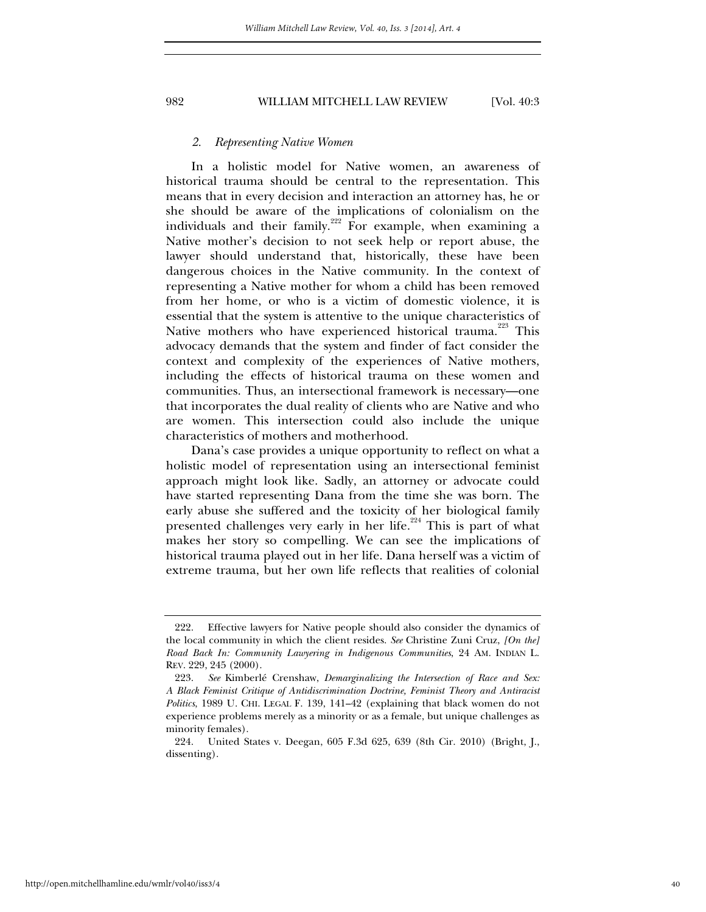#### *2. Representing Native Women*

In a holistic model for Native women, an awareness of historical trauma should be central to the representation. This means that in every decision and interaction an attorney has, he or she should be aware of the implications of colonialism on the individuals and their family.<sup>222</sup> For example, when examining a Native mother's decision to not seek help or report abuse, the lawyer should understand that, historically, these have been dangerous choices in the Native community. In the context of representing a Native mother for whom a child has been removed from her home, or who is a victim of domestic violence, it is essential that the system is attentive to the unique characteristics of Native mothers who have experienced historical trauma.<sup>223</sup> This advocacy demands that the system and finder of fact consider the context and complexity of the experiences of Native mothers, including the effects of historical trauma on these women and communities. Thus, an intersectional framework is necessary—one that incorporates the dual reality of clients who are Native and who are women. This intersection could also include the unique characteristics of mothers and motherhood.

Dana's case provides a unique opportunity to reflect on what a holistic model of representation using an intersectional feminist approach might look like. Sadly, an attorney or advocate could have started representing Dana from the time she was born. The early abuse she suffered and the toxicity of her biological family presented challenges very early in her life.<sup>224</sup> This is part of what makes her story so compelling. We can see the implications of historical trauma played out in her life. Dana herself was a victim of extreme trauma, but her own life reflects that realities of colonial

 <sup>222.</sup> Effective lawyers for Native people should also consider the dynamics of the local community in which the client resides. *See* Christine Zuni Cruz, *[On the] Road Back In: Community Lawyering in Indigenous Communities*, 24 AM. INDIAN L. REV. 229, 245 (2000).

 <sup>223.</sup> *See* Kimberlé Crenshaw, *Demarginalizing the Intersection of Race and Sex: A Black Feminist Critique of Antidiscrimination Doctrine, Feminist Theory and Antiracist Politics*, 1989 U. CHI. LEGAL F. 139, 141–42 (explaining that black women do not experience problems merely as a minority or as a female, but unique challenges as minority females).

 <sup>224.</sup> United States v. Deegan, 605 F.3d 625, 639 (8th Cir. 2010) (Bright, J., dissenting).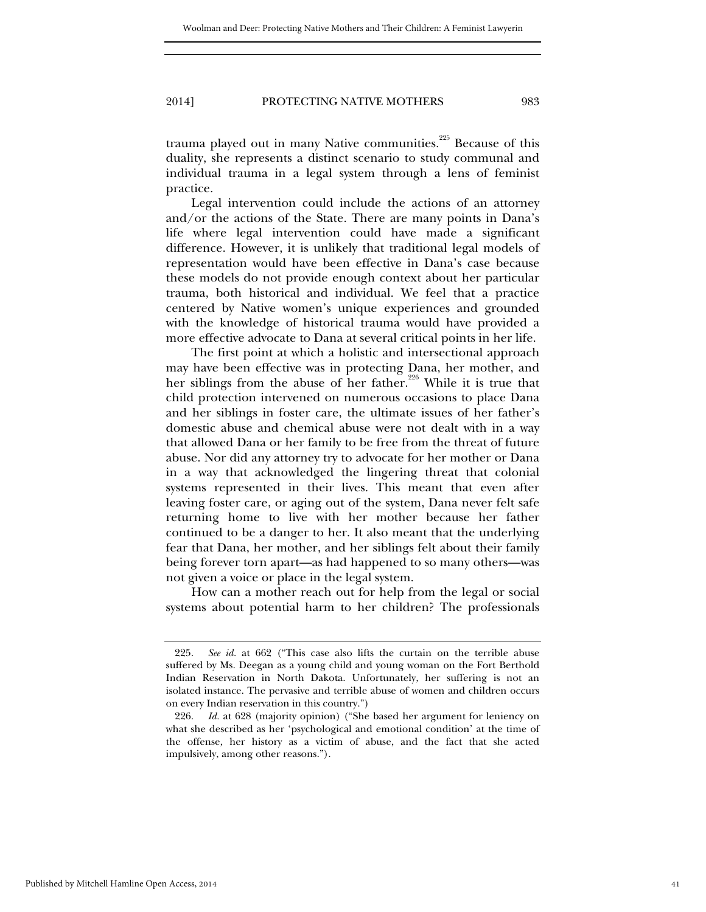trauma played out in many Native communities.<sup>225</sup> Because of this duality, she represents a distinct scenario to study communal and individual trauma in a legal system through a lens of feminist practice.

Legal intervention could include the actions of an attorney and/or the actions of the State. There are many points in Dana's life where legal intervention could have made a significant difference. However, it is unlikely that traditional legal models of representation would have been effective in Dana's case because these models do not provide enough context about her particular trauma, both historical and individual. We feel that a practice centered by Native women's unique experiences and grounded with the knowledge of historical trauma would have provided a more effective advocate to Dana at several critical points in her life.

The first point at which a holistic and intersectional approach may have been effective was in protecting Dana, her mother, and her siblings from the abuse of her father.<sup>226</sup> While it is true that child protection intervened on numerous occasions to place Dana and her siblings in foster care, the ultimate issues of her father's domestic abuse and chemical abuse were not dealt with in a way that allowed Dana or her family to be free from the threat of future abuse. Nor did any attorney try to advocate for her mother or Dana in a way that acknowledged the lingering threat that colonial systems represented in their lives. This meant that even after leaving foster care, or aging out of the system, Dana never felt safe returning home to live with her mother because her father continued to be a danger to her. It also meant that the underlying fear that Dana, her mother, and her siblings felt about their family being forever torn apart—as had happened to so many others—was not given a voice or place in the legal system.

How can a mother reach out for help from the legal or social systems about potential harm to her children? The professionals

Published by Mitchell Hamline Open Access, 2014

 <sup>225.</sup> *See id.* at 662 ("This case also lifts the curtain on the terrible abuse suffered by Ms. Deegan as a young child and young woman on the Fort Berthold Indian Reservation in North Dakota. Unfortunately, her suffering is not an isolated instance. The pervasive and terrible abuse of women and children occurs on every Indian reservation in this country.")

 <sup>226.</sup> *Id.* at 628 (majority opinion) ("She based her argument for leniency on what she described as her 'psychological and emotional condition' at the time of the offense, her history as a victim of abuse, and the fact that she acted impulsively, among other reasons.").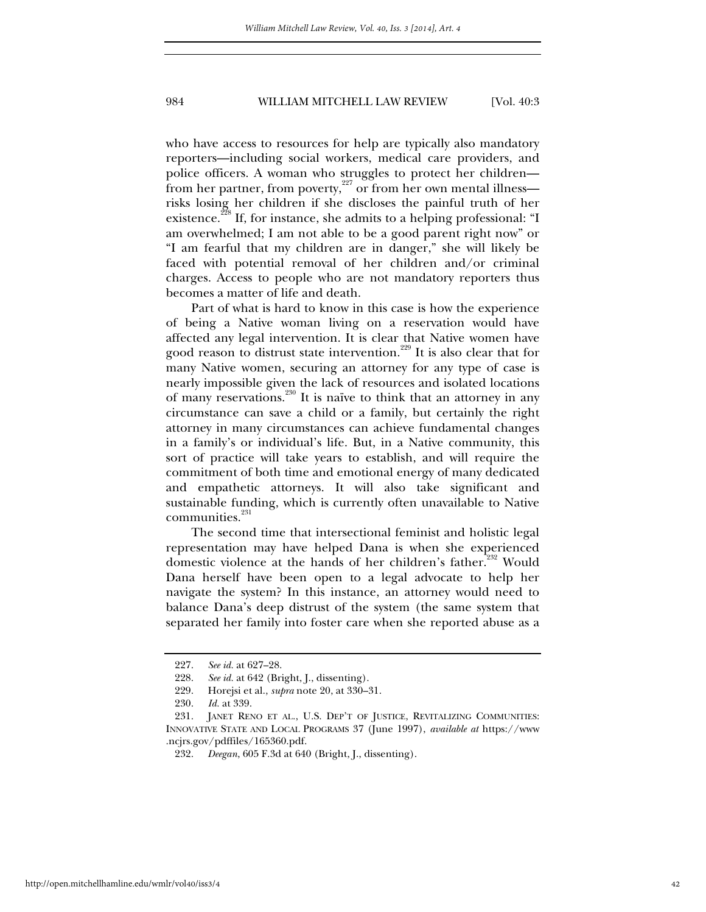who have access to resources for help are typically also mandatory reporters—including social workers, medical care providers, and police officers. A woman who struggles to protect her children from her partner, from poverty, $227 \text{ or from her own mental illness}$  risks losing her children if she discloses the painful truth of her existence.<sup>228</sup> If, for instance, she admits to a helping professional: "I am overwhelmed; I am not able to be a good parent right now" or "I am fearful that my children are in danger," she will likely be faced with potential removal of her children and/or criminal charges. Access to people who are not mandatory reporters thus becomes a matter of life and death.

Part of what is hard to know in this case is how the experience of being a Native woman living on a reservation would have affected any legal intervention. It is clear that Native women have good reason to distrust state intervention.229 It is also clear that for many Native women, securing an attorney for any type of case is nearly impossible given the lack of resources and isolated locations of many reservations.<sup>230</sup> It is naïve to think that an attorney in any circumstance can save a child or a family, but certainly the right attorney in many circumstances can achieve fundamental changes in a family's or individual's life. But, in a Native community, this sort of practice will take years to establish, and will require the commitment of both time and emotional energy of many dedicated and empathetic attorneys. It will also take significant and sustainable funding, which is currently often unavailable to Native  $commu nities.<sup>231</sup>$ 

The second time that intersectional feminist and holistic legal representation may have helped Dana is when she experienced domestic violence at the hands of her children's father.<sup>232</sup> Would Dana herself have been open to a legal advocate to help her navigate the system? In this instance, an attorney would need to balance Dana's deep distrust of the system (the same system that separated her family into foster care when she reported abuse as a

 <sup>227.</sup> *See id.* at 627–28.

 <sup>228.</sup> *See id.* at 642 (Bright, J., dissenting).

 <sup>229.</sup> Horejsi et al., *supra* note 20, at 330–31.

 <sup>230.</sup> *Id.* at 339.

 <sup>231.</sup> JANET RENO ET AL., U.S. DEP'T OF JUSTICE, REVITALIZING COMMUNITIES: INNOVATIVE STATE AND LOCAL PROGRAMS 37 (June 1997), *available at* https://www .ncjrs.gov/pdffiles/165360.pdf.

 <sup>232.</sup> *Deegan*, 605 F.3d at 640 (Bright, J., dissenting).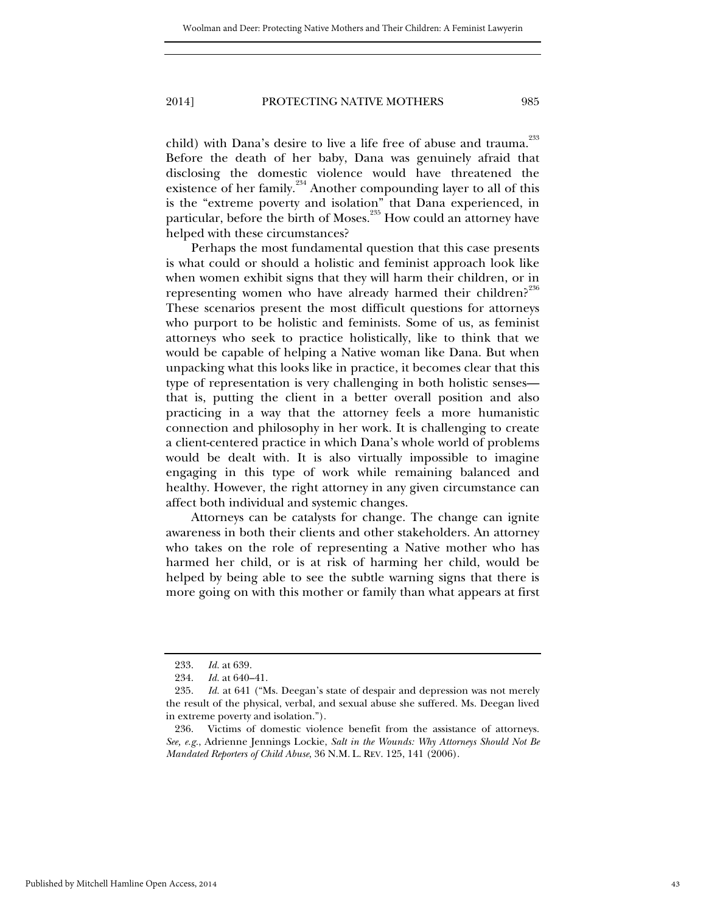child) with Dana's desire to live a life free of abuse and trauma.<sup>233</sup> Before the death of her baby, Dana was genuinely afraid that disclosing the domestic violence would have threatened the existence of her family.<sup>234</sup> Another compounding layer to all of this is the "extreme poverty and isolation" that Dana experienced, in particular, before the birth of Moses.<sup>235</sup> How could an attorney have helped with these circumstances?

Perhaps the most fundamental question that this case presents is what could or should a holistic and feminist approach look like when women exhibit signs that they will harm their children, or in representing women who have already harmed their children?<sup>236</sup> These scenarios present the most difficult questions for attorneys who purport to be holistic and feminists. Some of us, as feminist attorneys who seek to practice holistically, like to think that we would be capable of helping a Native woman like Dana. But when unpacking what this looks like in practice, it becomes clear that this type of representation is very challenging in both holistic senses that is, putting the client in a better overall position and also practicing in a way that the attorney feels a more humanistic connection and philosophy in her work. It is challenging to create a client-centered practice in which Dana's whole world of problems would be dealt with. It is also virtually impossible to imagine engaging in this type of work while remaining balanced and healthy. However, the right attorney in any given circumstance can affect both individual and systemic changes.

Attorneys can be catalysts for change. The change can ignite awareness in both their clients and other stakeholders. An attorney who takes on the role of representing a Native mother who has harmed her child, or is at risk of harming her child, would be helped by being able to see the subtle warning signs that there is more going on with this mother or family than what appears at first

 <sup>233.</sup> *Id.* at 639.

 <sup>234.</sup> *Id.* at 640–41.

 <sup>235.</sup> *Id.* at 641 ("Ms. Deegan's state of despair and depression was not merely the result of the physical, verbal, and sexual abuse she suffered. Ms. Deegan lived in extreme poverty and isolation.").

 <sup>236.</sup> Victims of domestic violence benefit from the assistance of attorneys. *See, e.g.*, Adrienne Jennings Lockie, *Salt in the Wounds: Why Attorneys Should Not Be Mandated Reporters of Child Abuse*, 36 N.M. L. REV. 125, 141 (2006).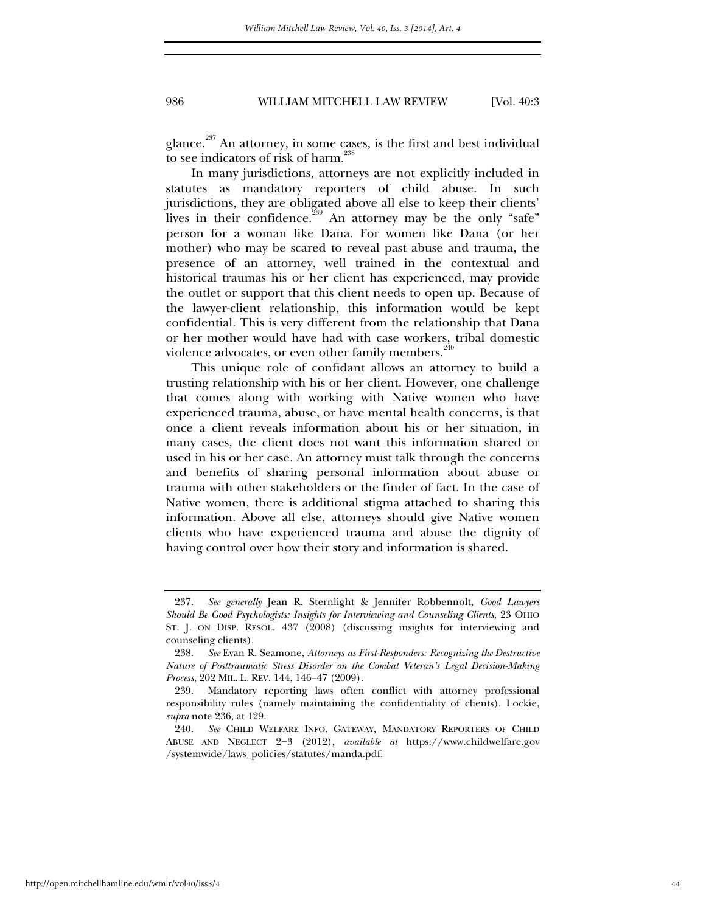glance.<sup>237</sup> An attorney, in some cases, is the first and best individual

to see indicators of risk of harm.<sup>238</sup> In many jurisdictions, attorneys are not explicitly included in statutes as mandatory reporters of child abuse. In such jurisdictions, they are obligated above all else to keep their clients' lives in their confidence.<sup>239</sup> An attorney may be the only "safe" person for a woman like Dana. For women like Dana (or her mother) who may be scared to reveal past abuse and trauma, the presence of an attorney, well trained in the contextual and historical traumas his or her client has experienced, may provide the outlet or support that this client needs to open up. Because of the lawyer-client relationship, this information would be kept confidential. This is very different from the relationship that Dana or her mother would have had with case workers, tribal domestic violence advocates, or even other family members.<sup>2</sup>

This unique role of confidant allows an attorney to build a trusting relationship with his or her client. However, one challenge that comes along with working with Native women who have experienced trauma, abuse, or have mental health concerns, is that once a client reveals information about his or her situation, in many cases, the client does not want this information shared or used in his or her case. An attorney must talk through the concerns and benefits of sharing personal information about abuse or trauma with other stakeholders or the finder of fact. In the case of Native women, there is additional stigma attached to sharing this information. Above all else, attorneys should give Native women clients who have experienced trauma and abuse the dignity of having control over how their story and information is shared.

 <sup>237.</sup> *See generally* Jean R. Sternlight & Jennifer Robbennolt, *Good Lawyers Should Be Good Psychologists: Insights for Interviewing and Counseling Clients*, 23 OHIO ST. J. ON DISP. RESOL. 437 (2008) (discussing insights for interviewing and counseling clients).

 <sup>238.</sup> *See* Evan R. Seamone, *Attorneys as First-Responders: Recognizing the Destructive Nature of Posttraumatic Stress Disorder on the Combat Veteran's Legal Decision-Making Process*, 202 MIL. L. REV. 144, 146–47 (2009).

 <sup>239.</sup> Mandatory reporting laws often conflict with attorney professional responsibility rules (namely maintaining the confidentiality of clients). Lockie, *supra* note 236, at 129.

 <sup>240.</sup> *See* CHILD WELFARE INFO. GATEWAY, MANDATORY REPORTERS OF CHILD ABUSE AND NEGLECT 2−3 (2012), *available at* https://www.childwelfare.gov /systemwide/laws\_policies/statutes/manda.pdf.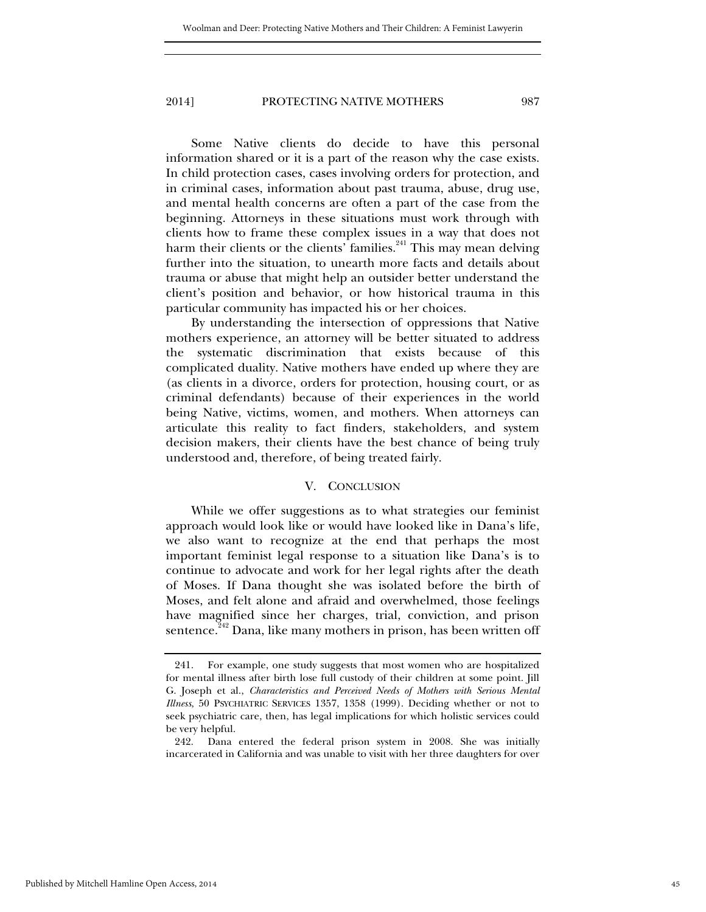Some Native clients do decide to have this personal information shared or it is a part of the reason why the case exists. In child protection cases, cases involving orders for protection, and in criminal cases, information about past trauma, abuse, drug use, and mental health concerns are often a part of the case from the beginning. Attorneys in these situations must work through with clients how to frame these complex issues in a way that does not harm their clients or the clients' families.<sup>241</sup> This may mean delving further into the situation, to unearth more facts and details about trauma or abuse that might help an outsider better understand the client's position and behavior, or how historical trauma in this particular community has impacted his or her choices.

By understanding the intersection of oppressions that Native mothers experience, an attorney will be better situated to address the systematic discrimination that exists because of this complicated duality. Native mothers have ended up where they are (as clients in a divorce, orders for protection, housing court, or as criminal defendants) because of their experiences in the world being Native, victims, women, and mothers. When attorneys can articulate this reality to fact finders, stakeholders, and system decision makers, their clients have the best chance of being truly understood and, therefore, of being treated fairly.

## V. CONCLUSION

While we offer suggestions as to what strategies our feminist approach would look like or would have looked like in Dana's life, we also want to recognize at the end that perhaps the most important feminist legal response to a situation like Dana's is to continue to advocate and work for her legal rights after the death of Moses. If Dana thought she was isolated before the birth of Moses, and felt alone and afraid and overwhelmed, those feelings have magnified since her charges, trial, conviction, and prison sentence.<sup>242</sup> Dana, like many mothers in prison, has been written off

 <sup>241.</sup> For example, one study suggests that most women who are hospitalized for mental illness after birth lose full custody of their children at some point. Jill G. Joseph et al., *Characteristics and Perceived Needs of Mothers with Serious Mental Illness*, 50 PSYCHIATRIC SERVICES 1357, 1358 (1999). Deciding whether or not to seek psychiatric care, then, has legal implications for which holistic services could be very helpful.

 <sup>242.</sup> Dana entered the federal prison system in 2008. She was initially incarcerated in California and was unable to visit with her three daughters for over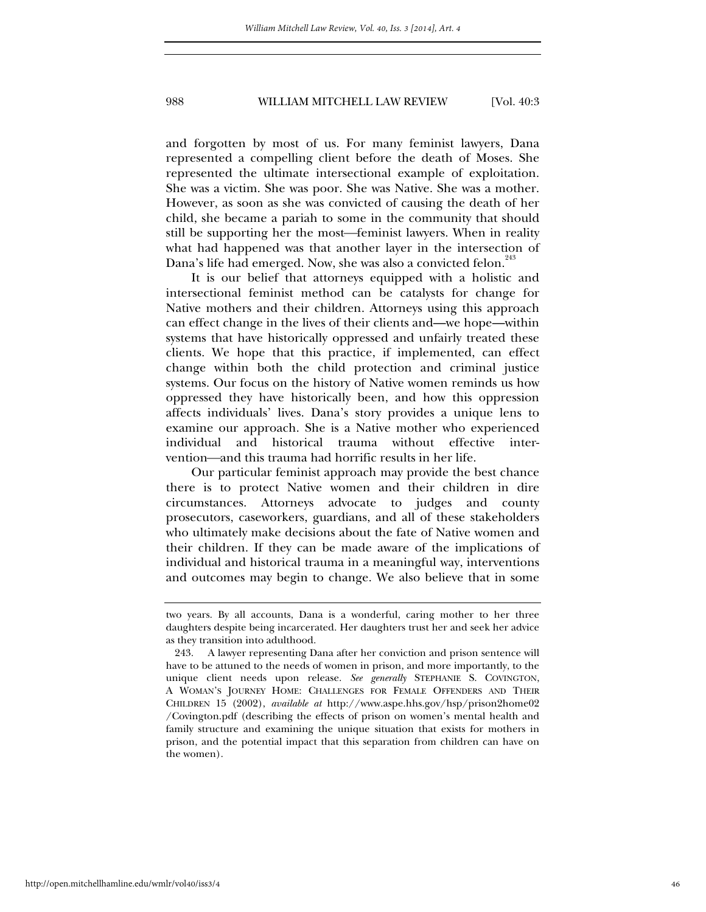and forgotten by most of us. For many feminist lawyers, Dana represented a compelling client before the death of Moses. She represented the ultimate intersectional example of exploitation. She was a victim. She was poor. She was Native. She was a mother. However, as soon as she was convicted of causing the death of her child, she became a pariah to some in the community that should still be supporting her the most—feminist lawyers. When in reality what had happened was that another layer in the intersection of Dana's life had emerged. Now, she was also a convicted felon.<sup>243</sup>

It is our belief that attorneys equipped with a holistic and intersectional feminist method can be catalysts for change for Native mothers and their children. Attorneys using this approach can effect change in the lives of their clients and—we hope—within systems that have historically oppressed and unfairly treated these clients. We hope that this practice, if implemented, can effect change within both the child protection and criminal justice systems. Our focus on the history of Native women reminds us how oppressed they have historically been, and how this oppression affects individuals' lives. Dana's story provides a unique lens to examine our approach. She is a Native mother who experienced individual and historical trauma without effective intervention—and this trauma had horrific results in her life.

Our particular feminist approach may provide the best chance there is to protect Native women and their children in dire circumstances. Attorneys advocate to judges and county prosecutors, caseworkers, guardians, and all of these stakeholders who ultimately make decisions about the fate of Native women and their children. If they can be made aware of the implications of individual and historical trauma in a meaningful way, interventions and outcomes may begin to change. We also believe that in some

two years. By all accounts, Dana is a wonderful, caring mother to her three daughters despite being incarcerated. Her daughters trust her and seek her advice as they transition into adulthood.

 <sup>243.</sup> A lawyer representing Dana after her conviction and prison sentence will have to be attuned to the needs of women in prison, and more importantly, to the unique client needs upon release. *See generally* STEPHANIE S. COVINGTON, A WOMAN'S JOURNEY HOME: CHALLENGES FOR FEMALE OFFENDERS AND THEIR CHILDREN 15 (2002), *available at* http://www.aspe.hhs.gov/hsp/prison2home02 /Covington.pdf (describing the effects of prison on women's mental health and family structure and examining the unique situation that exists for mothers in prison, and the potential impact that this separation from children can have on the women).